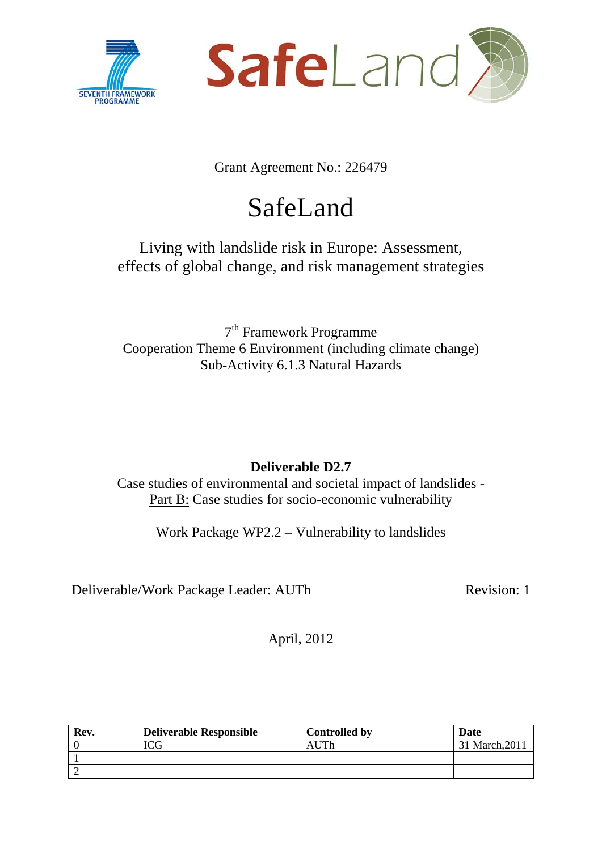



Grant Agreement No.: 226479

# SafeLand

# Living with landslide risk in Europe: Assessment, effects of global change, and risk management strategies

7th Framework Programme Cooperation Theme 6 Environment (including climate change) Sub-Activity 6.1.3 Natural Hazards

# **Deliverable D2.7**

Case studies of environmental and societal impact of landslides - Part B: Case studies for socio-economic vulnerability

Work Package WP2.2 – Vulnerability to landslides

Deliverable/Work Package Leader: AUTh Revision: 1

April, 2012

| Rev. | <b>Deliverable Responsible</b> | <b>Controlled by</b> | Date           |
|------|--------------------------------|----------------------|----------------|
|      | $T\cap\cap$                    | AUTh                 | 31 March, 2011 |
|      |                                |                      |                |
|      |                                |                      |                |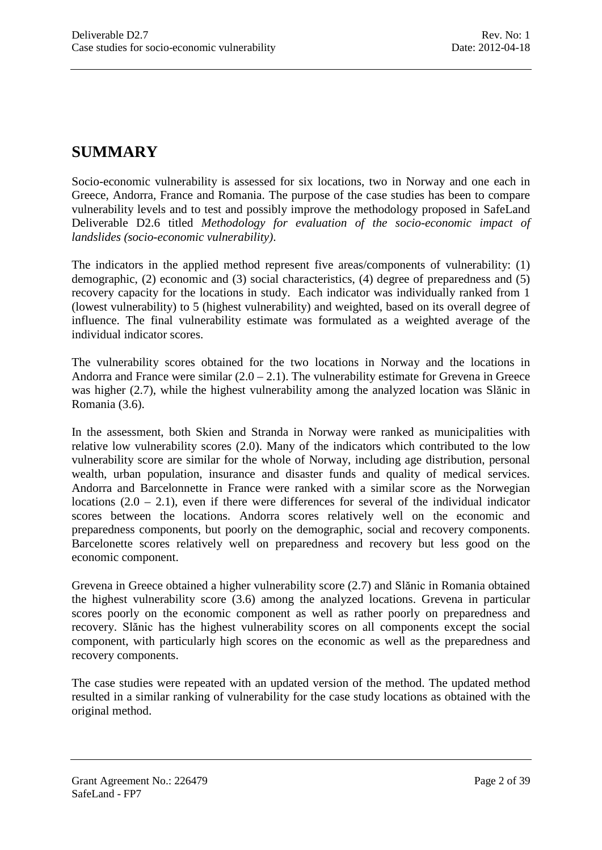# **SUMMARY**

Socio-economic vulnerability is assessed for six locations, two in Norway and one each in Greece, Andorra, France and Romania. The purpose of the case studies has been to compare vulnerability levels and to test and possibly improve the methodology proposed in SafeLand Deliverable D2.6 titled *Methodology for evaluation of the socio-economic impact of landslides (socio-economic vulnerability)*.

The indicators in the applied method represent five areas/components of vulnerability: (1) demographic, (2) economic and (3) social characteristics, (4) degree of preparedness and (5) recovery capacity for the locations in study. Each indicator was individually ranked from 1 (lowest vulnerability) to 5 (highest vulnerability) and weighted, based on its overall degree of influence. The final vulnerability estimate was formulated as a weighted average of the individual indicator scores.

The vulnerability scores obtained for the two locations in Norway and the locations in Andorra and France were similar  $(2.0 - 2.1)$ . The vulnerability estimate for Grevena in Greece was higher (2.7), while the highest vulnerability among the analyzed location was Slănic in Romania (3.6).

In the assessment, both Skien and Stranda in Norway were ranked as municipalities with relative low vulnerability scores (2.0). Many of the indicators which contributed to the low vulnerability score are similar for the whole of Norway, including age distribution, personal wealth, urban population, insurance and disaster funds and quality of medical services. Andorra and Barcelonnette in France were ranked with a similar score as the Norwegian locations  $(2.0 - 2.1)$ , even if there were differences for several of the individual indicator scores between the locations. Andorra scores relatively well on the economic and preparedness components, but poorly on the demographic, social and recovery components. Barcelonette scores relatively well on preparedness and recovery but less good on the economic component.

Grevena in Greece obtained a higher vulnerability score (2.7) and Slănic in Romania obtained the highest vulnerability score (3.6) among the analyzed locations. Grevena in particular scores poorly on the economic component as well as rather poorly on preparedness and recovery. Slănic has the highest vulnerability scores on all components except the social component, with particularly high scores on the economic as well as the preparedness and recovery components.

The case studies were repeated with an updated version of the method. The updated method resulted in a similar ranking of vulnerability for the case study locations as obtained with the original method.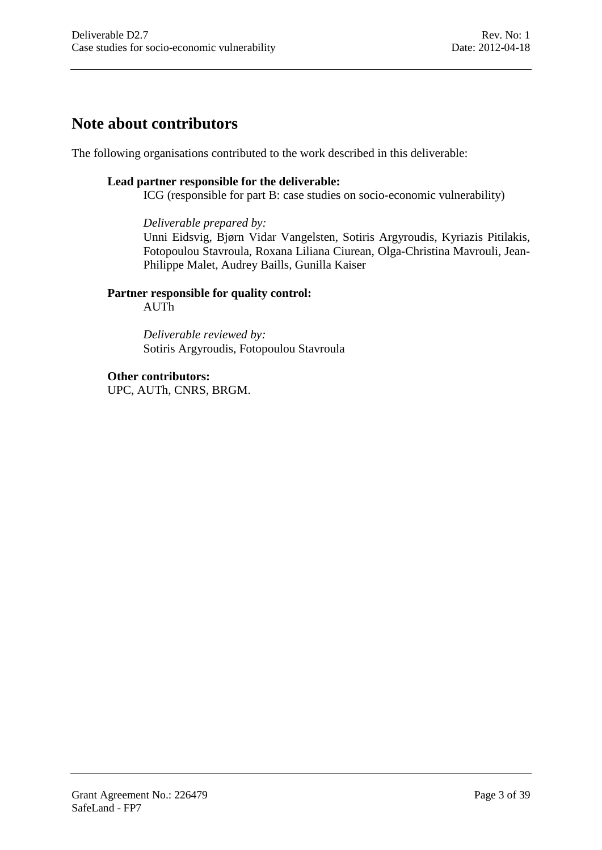# **Note about contributors**

The following organisations contributed to the work described in this deliverable:

#### **Lead partner responsible for the deliverable:**

ICG (responsible for part B: case studies on socio-economic vulnerability)

#### *Deliverable prepared by:*

Unni Eidsvig, Bjørn Vidar Vangelsten, Sotiris Argyroudis, Kyriazis Pitilakis, Fotopoulou Stavroula, Roxana Liliana Ciurean, Olga-Christina Mavrouli, Jean-Philippe Malet, Audrey Baills, Gunilla Kaiser

#### **Partner responsible for quality control:**

AUTh

*Deliverable reviewed by:* Sotiris Argyroudis, Fotopoulou Stavroula

#### **Other contributors:**

UPC, AUTh, CNRS, BRGM.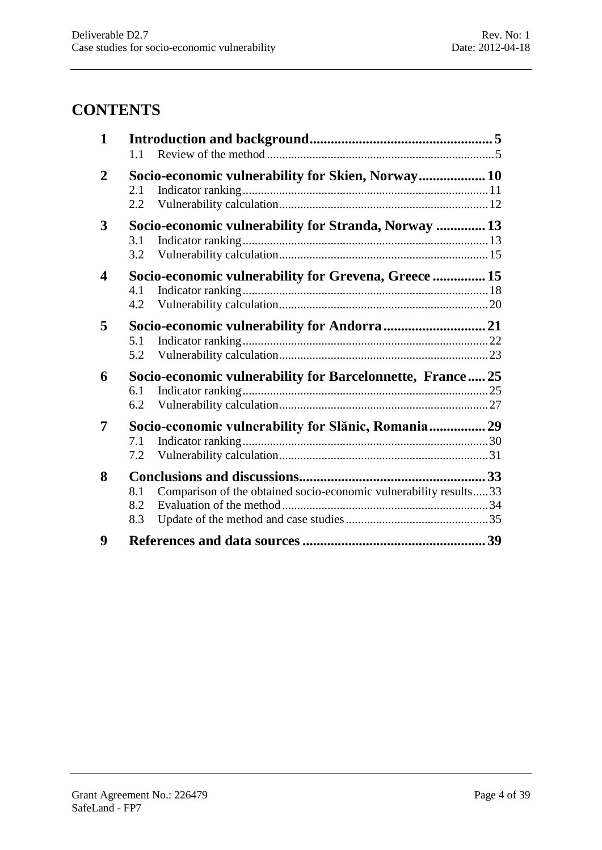# **CONTENTS**

| $\mathbf{1}$            | 1.1                     |                                                                   |  |
|-------------------------|-------------------------|-------------------------------------------------------------------|--|
| $\boldsymbol{2}$        | 2.1<br>$2.2\phantom{0}$ | Socio-economic vulnerability for Skien, Norway 10                 |  |
| 3                       | 3.1<br>3.2              | Socio-economic vulnerability for Stranda, Norway  13              |  |
| $\overline{\mathbf{4}}$ | 4.1<br>4.2              | Socio-economic vulnerability for Grevena, Greece  15              |  |
| 5                       | 5.1<br>5.2              |                                                                   |  |
| 6                       | 6.1<br>6.2              | Socio-economic vulnerability for Barcelonnette, France 25         |  |
| 7                       | 7.1<br>7.2              | Socio-economic vulnerability for Slănic, Romania 29               |  |
| 8                       | 8.1<br>8.2<br>8.3       | Comparison of the obtained socio-economic vulnerability results33 |  |
| 9                       |                         |                                                                   |  |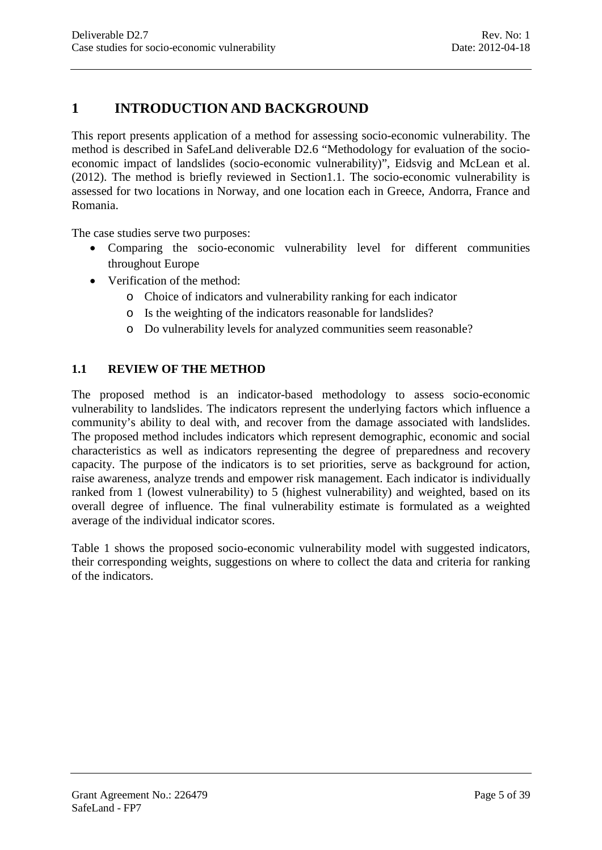# <span id="page-4-0"></span>**1 INTRODUCTION AND BACKGROUND**

This report presents application of a method for assessing socio-economic vulnerability. The method is described in SafeLand deliverable D2.6 "Methodology for evaluation of the socioeconomic impact of landslides (socio-economic vulnerability)", Eidsvig and McLean et al. (2012). The method is briefly reviewed in Sectio[n1.1.](#page-4-1) The socio-economic vulnerability is assessed for two locations in Norway, and one location each in Greece, Andorra, France and Romania.

The case studies serve two purposes:

- Comparing the socio-economic vulnerability level for different communities throughout Europe
- Verification of the method:
	- o Choice of indicators and vulnerability ranking for each indicator
	- o Is the weighting of the indicators reasonable for landslides?
	- o Do vulnerability levels for analyzed communities seem reasonable?

#### <span id="page-4-1"></span>**1.1 REVIEW OF THE METHOD**

The proposed method is an indicator-based methodology to assess socio-economic vulnerability to landslides. The indicators represent the underlying factors which influence a community's ability to deal with, and recover from the damage associated with landslides. The proposed method includes indicators which represent demographic, economic and social characteristics as well as indicators representing the degree of preparedness and recovery capacity. The purpose of the indicators is to set priorities, serve as background for action, raise awareness, analyze trends and empower risk management. Each indicator is individually ranked from 1 (lowest vulnerability) to 5 (highest vulnerability) and weighted, based on its overall degree of influence. The final vulnerability estimate is formulated as a weighted average of the individual indicator scores.

[Table 1](#page-5-0) shows the proposed socio-economic vulnerability model with suggested indicators, their corresponding weights, suggestions on where to collect the data and criteria for ranking of the indicators.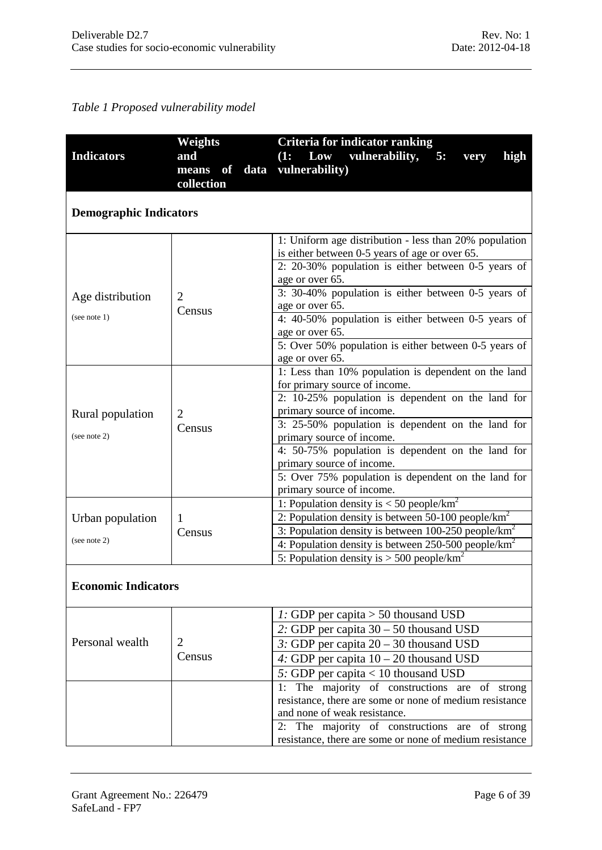## <span id="page-5-0"></span>*Table 1 Proposed vulnerability model*

|                               | Weights        | Criteria for indicator ranking                                                 |  |
|-------------------------------|----------------|--------------------------------------------------------------------------------|--|
| <b>Indicators</b>             | and            | Low vulnerability,<br>(1:<br>high<br>5:<br>very                                |  |
|                               | means of       | data vulnerability)                                                            |  |
|                               | collection     |                                                                                |  |
|                               |                |                                                                                |  |
| <b>Demographic Indicators</b> |                |                                                                                |  |
|                               |                |                                                                                |  |
|                               |                | 1: Uniform age distribution - less than 20% population                         |  |
|                               |                | is either between 0-5 years of age or over 65.                                 |  |
|                               |                | 2: 20-30% population is either between 0-5 years of                            |  |
|                               |                | age or over 65.                                                                |  |
| Age distribution              | 2              | 3: 30-40% population is either between 0-5 years of                            |  |
|                               | Census         | age or over 65.                                                                |  |
| (see note 1)                  |                | 4: 40-50% population is either between 0-5 years of                            |  |
|                               |                | age or over 65.                                                                |  |
|                               |                | 5: Over 50% population is either between 0-5 years of                          |  |
|                               |                | age or over 65.                                                                |  |
|                               |                | 1: Less than 10% population is dependent on the land                           |  |
|                               |                | for primary source of income.                                                  |  |
|                               |                | 2: 10-25% population is dependent on the land for                              |  |
| Rural population              | $\overline{2}$ | primary source of income.<br>3: 25-50% population is dependent on the land for |  |
| (see note 2)                  | Census         | primary source of income.                                                      |  |
|                               |                | 4: 50-75% population is dependent on the land for                              |  |
|                               |                | primary source of income.                                                      |  |
|                               |                | 5: Over 75% population is dependent on the land for                            |  |
|                               |                | primary source of income.                                                      |  |
|                               |                | 1: Population density is $<$ 50 people/km <sup>2</sup>                         |  |
| Urban population              | 1              | 2: Population density is between 50-100 people/ $km^2$                         |  |
|                               | Census         | 3: Population density is between $100-250$ people/km <sup>2</sup>              |  |
| (see note 2)                  |                | 4: Population density is between $250-500$ people/km <sup>2</sup>              |  |
|                               |                | 5: Population density is $> 500$ people/km <sup>2</sup>                        |  |
|                               |                |                                                                                |  |
| <b>Economic Indicators</b>    |                |                                                                                |  |
|                               |                |                                                                                |  |
|                               |                | 1: GDP per capita $> 50$ thousand USD                                          |  |
|                               |                | 2: GDP per capita $30 - 50$ thousand USD                                       |  |
| Personal wealth               | $\overline{2}$ | 3: GDP per capita 20 - 30 thousand USD                                         |  |
|                               | Census         | 4: GDP per capita $10 - 20$ thousand USD                                       |  |
|                               |                | 5: GDP per capita < 10 thousand USD                                            |  |
|                               |                | The majority of constructions are of strong<br>1:                              |  |
|                               |                | resistance, there are some or none of medium resistance                        |  |
|                               |                | and none of weak resistance.                                                   |  |
|                               |                | 2: The majority of constructions are of strong                                 |  |
|                               |                | resistance, there are some or none of medium resistance                        |  |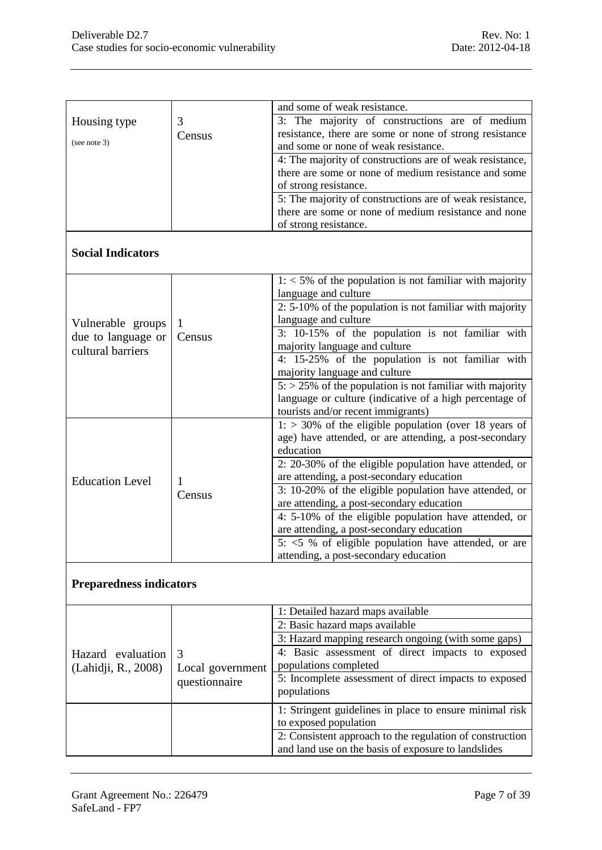|                                |                                                | and some of weak resistance.                                   |  |  |
|--------------------------------|------------------------------------------------|----------------------------------------------------------------|--|--|
| Housing type                   | 3: The majority of constructions are of medium |                                                                |  |  |
| (see note 3)                   | Census                                         | resistance, there are some or none of strong resistance        |  |  |
|                                |                                                | and some or none of weak resistance.                           |  |  |
|                                |                                                | 4: The majority of constructions are of weak resistance,       |  |  |
|                                |                                                | there are some or none of medium resistance and some           |  |  |
|                                |                                                | of strong resistance.                                          |  |  |
|                                |                                                | 5: The majority of constructions are of weak resistance,       |  |  |
|                                |                                                | there are some or none of medium resistance and none           |  |  |
|                                |                                                | of strong resistance.                                          |  |  |
| <b>Social Indicators</b>       |                                                |                                                                |  |  |
|                                |                                                | $1: 5\%$ of the population is not familiar with majority       |  |  |
|                                |                                                | language and culture                                           |  |  |
|                                |                                                | 2: 5-10% of the population is not familiar with majority       |  |  |
| Vulnerable groups              | 1                                              | language and culture                                           |  |  |
| due to language or             | Census                                         | 3: 10-15% of the population is not familiar with               |  |  |
| cultural barriers              |                                                | majority language and culture                                  |  |  |
|                                |                                                | 4: 15-25% of the population is not familiar with               |  |  |
|                                |                                                | majority language and culture                                  |  |  |
|                                |                                                | $5:$ > 25% of the population is not familiar with majority     |  |  |
|                                |                                                | language or culture (indicative of a high percentage of        |  |  |
|                                |                                                | tourists and/or recent immigrants)                             |  |  |
|                                |                                                | $1:$ > 30% of the eligible population (over 18 years of        |  |  |
|                                |                                                | age) have attended, or are attending, a post-secondary         |  |  |
|                                |                                                | education                                                      |  |  |
|                                |                                                | 2: 20-30% of the eligible population have attended, or         |  |  |
| <b>Education Level</b>         | 1                                              | are attending, a post-secondary education                      |  |  |
|                                | Census                                         | 3: 10-20% of the eligible population have attended, or         |  |  |
|                                |                                                | are attending, a post-secondary education                      |  |  |
|                                |                                                | 4: 5-10% of the eligible population have attended, or          |  |  |
|                                |                                                | are attending, a post-secondary education                      |  |  |
|                                |                                                | $5: 5 \times 5$ % of eligible population have attended, or are |  |  |
|                                |                                                | attending, a post-secondary education                          |  |  |
| <b>Preparedness indicators</b> |                                                |                                                                |  |  |
|                                |                                                | 1: Detailed hazard maps available                              |  |  |
|                                |                                                | 2: Basic hazard maps available                                 |  |  |
|                                |                                                | 3: Hazard mapping research ongoing (with some gaps)            |  |  |
| Hazard evaluation              | 3                                              | 4: Basic assessment of direct impacts to exposed               |  |  |
| (Lahidji, R., 2008)            | Local government                               | populations completed                                          |  |  |
|                                | questionnaire                                  | 5: Incomplete assessment of direct impacts to exposed          |  |  |
|                                |                                                | populations                                                    |  |  |
|                                |                                                | 1: Stringent guidelines in place to ensure minimal risk        |  |  |
|                                |                                                | to exposed population                                          |  |  |
|                                |                                                | 2: Consistent approach to the regulation of construction       |  |  |
|                                |                                                | and land use on the basis of exposure to landslides            |  |  |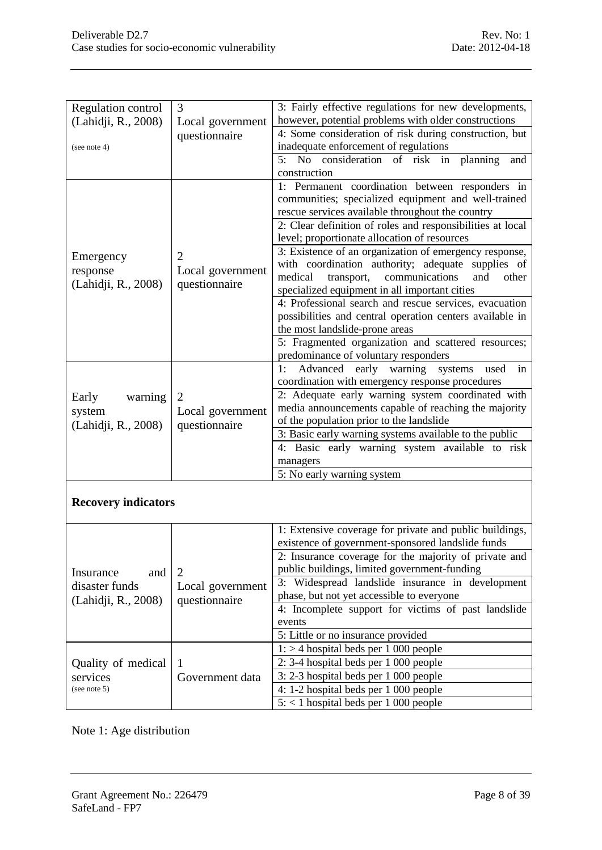| Regulation control         | 3                | 3: Fairly effective regulations for new developments,                                |  |  |
|----------------------------|------------------|--------------------------------------------------------------------------------------|--|--|
| (Lahidji, R., 2008)        | Local government | however, potential problems with older constructions                                 |  |  |
|                            | questionnaire    | 4: Some consideration of risk during construction, but                               |  |  |
| (see note $4$ )            |                  | inadequate enforcement of regulations                                                |  |  |
|                            |                  | No consideration of risk in<br>5:<br>planning<br>and                                 |  |  |
|                            |                  | construction                                                                         |  |  |
|                            |                  | 1: Permanent coordination between responders in                                      |  |  |
|                            |                  | communities; specialized equipment and well-trained                                  |  |  |
|                            |                  | rescue services available throughout the country                                     |  |  |
|                            |                  | 2: Clear definition of roles and responsibilities at local                           |  |  |
|                            |                  | level; proportionate allocation of resources                                         |  |  |
| Emergency                  | $\overline{2}$   | 3: Existence of an organization of emergency response,                               |  |  |
| response                   | Local government | with coordination authority; adequate supplies of<br>medical<br>other                |  |  |
| (Lahidji, R., 2008)        | questionnaire    | communications<br>transport,<br>and<br>specialized equipment in all important cities |  |  |
|                            |                  | 4: Professional search and rescue services, evacuation                               |  |  |
|                            |                  | possibilities and central operation centers available in                             |  |  |
|                            |                  | the most landslide-prone areas                                                       |  |  |
|                            |                  | 5: Fragmented organization and scattered resources;                                  |  |  |
|                            |                  | predominance of voluntary responders                                                 |  |  |
|                            |                  | Advanced early warning<br>1:<br>used<br>in<br>systems                                |  |  |
|                            |                  | coordination with emergency response procedures                                      |  |  |
| Early<br>warning           | $\overline{2}$   | 2: Adequate early warning system coordinated with                                    |  |  |
| system                     | Local government | media announcements capable of reaching the majority                                 |  |  |
| (Lahidji, R., 2008)        | questionnaire    | of the population prior to the landslide                                             |  |  |
|                            |                  | 3: Basic early warning systems available to the public                               |  |  |
|                            |                  | 4: Basic early warning system available to risk                                      |  |  |
|                            |                  | managers                                                                             |  |  |
|                            |                  | 5: No early warning system                                                           |  |  |
|                            |                  |                                                                                      |  |  |
| <b>Recovery indicators</b> |                  |                                                                                      |  |  |
|                            |                  |                                                                                      |  |  |
|                            |                  | 1: Extensive coverage for private and public buildings,                              |  |  |
|                            |                  | existence of government-sponsored landslide funds                                    |  |  |
|                            |                  | 2: Insurance coverage for the majority of private and                                |  |  |
| Insurance<br>and           | $\overline{2}$   | public buildings, limited government-funding                                         |  |  |
| disaster funds             | Local government | 3: Widespread landslide insurance in development                                     |  |  |
| (Lahidji, R., 2008)        | questionnaire    | phase, but not yet accessible to everyone                                            |  |  |
|                            |                  | 4: Incomplete support for victims of past landslide                                  |  |  |
|                            |                  | events                                                                               |  |  |
|                            |                  | 5: Little or no insurance provided                                                   |  |  |
|                            |                  | $1:$ > 4 hospital beds per 1 000 people                                              |  |  |
| Quality of medical         | 1                | $2: 3-4$ hospital beds per 1 000 people                                              |  |  |
| services<br>(see note 5)   | Government data  | 3:2-3 hospital beds per 1 000 people<br>4: 1-2 hospital beds per 1 000 people        |  |  |
|                            |                  | $5:$ < 1 hospital beds per 1 000 people                                              |  |  |
|                            |                  |                                                                                      |  |  |

Note 1: Age distribution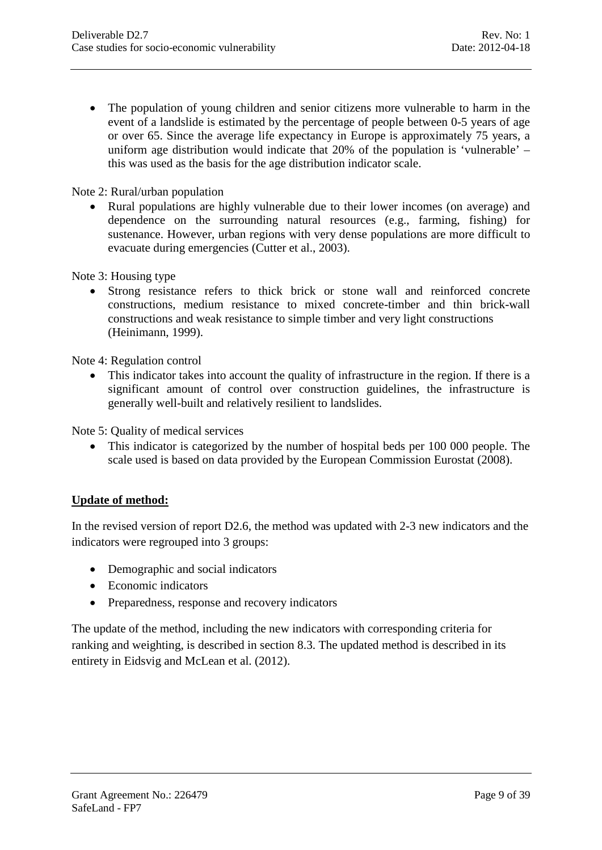• The population of young children and senior citizens more vulnerable to harm in the event of a landslide is estimated by the percentage of people between 0-5 years of age or over 65. Since the average life expectancy in Europe is approximately 75 years, a uniform age distribution would indicate that 20% of the population is 'vulnerable' – this was used as the basis for the age distribution indicator scale.

#### Note 2: Rural/urban population

• Rural populations are highly vulnerable due to their lower incomes (on average) and dependence on the surrounding natural resources (e.g., farming, fishing) for sustenance. However, urban regions with very dense populations are more difficult to evacuate during emergencies (Cutter et al., 2003).

Note 3: Housing type

• Strong resistance refers to thick brick or stone wall and reinforced concrete constructions, medium resistance to mixed concrete-timber and thin brick-wall constructions and weak resistance to simple timber and very light constructions (Heinimann, 1999).

Note 4: Regulation control

• This indicator takes into account the quality of infrastructure in the region. If there is a significant amount of control over construction guidelines, the infrastructure is generally well-built and relatively resilient to landslides.

Note 5: Quality of medical services

• This indicator is categorized by the number of hospital beds per 100 000 people. The scale used is based on data provided by the European Commission Eurostat (2008).

#### **Update of method:**

In the revised version of report D2.6, the method was updated with 2-3 new indicators and the indicators were regrouped into 3 groups:

- Demographic and social indicators
- Economic indicators
- Preparedness, response and recovery indicators

The update of the method, including the new indicators with corresponding criteria for ranking and weighting, is described in section 8.3. The updated method is described in its entirety in Eidsvig and McLean et al. (2012).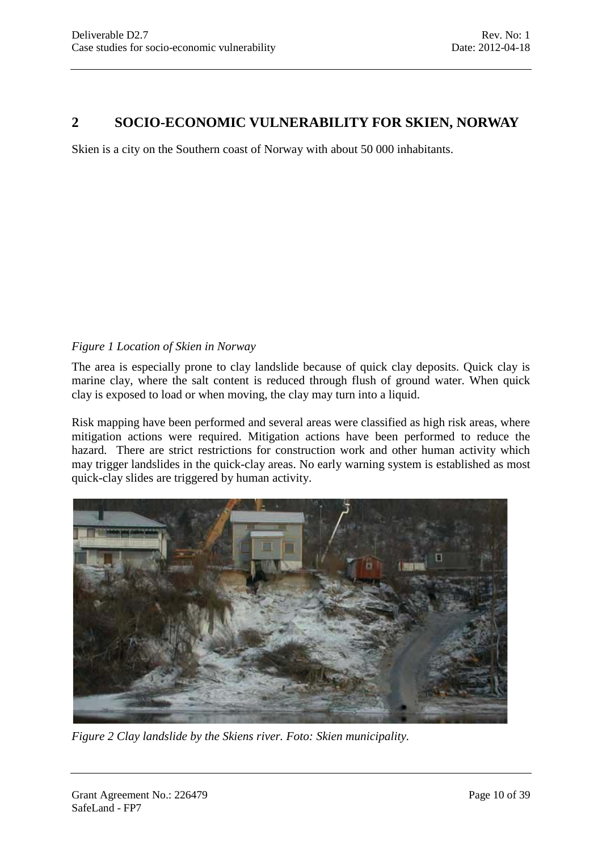# <span id="page-9-0"></span>**2 SOCIO-ECONOMIC VULNERABILITY FOR SKIEN, NORWAY**

Skien is a city on the Southern coast of Norway with about 50 000 inhabitants.

#### *Figure 1 Location of Skien in Norway*

The area is especially prone to clay landslide because of quick clay deposits. Quick clay is marine clay, where the salt content is reduced through flush of ground water. When quick clay is exposed to load or when moving, the clay may turn into a liquid.

Risk mapping have been performed and several areas were classified as high risk areas, where mitigation actions were required. Mitigation actions have been performed to reduce the hazard. There are strict restrictions for construction work and other human activity which may trigger landslides in the quick-clay areas. No early warning system is established as most quick-clay slides are triggered by human activity.



*Figure 2 Clay landslide by the Skiens river. Foto: Skien municipality.*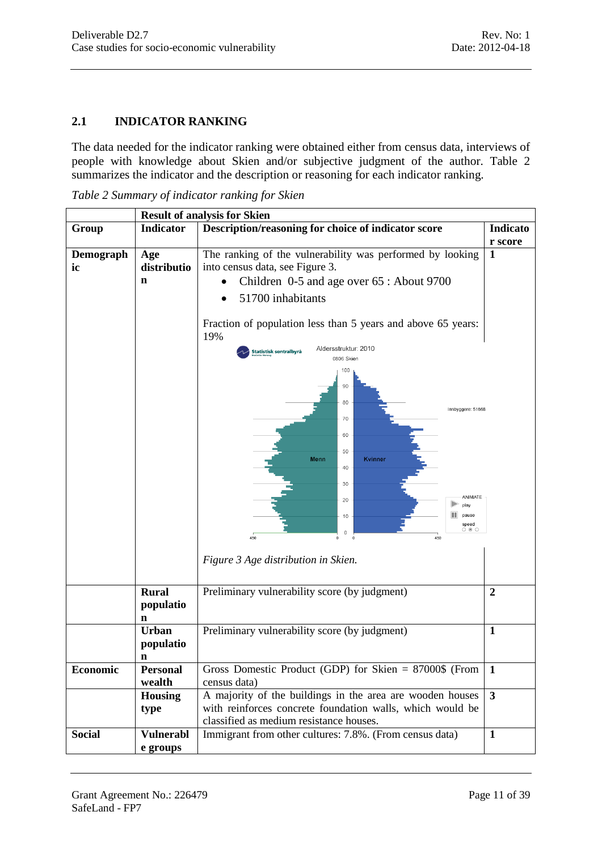# <span id="page-10-0"></span>**2.1 INDICATOR RANKING**

The data needed for the indicator ranking were obtained either from census data, interviews of people with knowledge about Skien and/or subjective judgment of the author. [Table 2](#page-10-1) summarizes the indicator and the description or reasoning for each indicator ranking.

<span id="page-10-1"></span>*Table 2 Summary of indicator ranking for Skien*

<span id="page-10-2"></span>

|                 | <b>Result of analysis for Skien</b> |                                                                                              |                         |  |
|-----------------|-------------------------------------|----------------------------------------------------------------------------------------------|-------------------------|--|
| Group           | <b>Indicator</b>                    | Description/reasoning for choice of indicator score                                          | Indicato                |  |
|                 |                                     |                                                                                              | r score                 |  |
| Demograph<br>ic | Age<br>distributio                  | The ranking of the vulnerability was performed by looking<br>into census data, see Figure 3. |                         |  |
|                 | n                                   | Children 0-5 and age over 65 : About 9700                                                    |                         |  |
|                 |                                     | 51700 inhabitants                                                                            |                         |  |
|                 |                                     | Fraction of population less than 5 years and above 65 years:<br>19%                          |                         |  |
|                 |                                     | Aldersstruktur: 2010<br>Statistisk sentralbyrå<br>0806 Skien                                 |                         |  |
|                 |                                     | 100<br>90<br>80                                                                              |                         |  |
|                 |                                     | Innbyggere: 51668<br>70<br>60                                                                |                         |  |
|                 |                                     | 50<br>Menn<br>Kvinner<br>40                                                                  |                         |  |
|                 |                                     | 30<br>ANIMATE                                                                                |                         |  |
|                 |                                     | 20<br>play<br>pause<br>10<br>speed<br>O <sub>0</sub><br>0                                    |                         |  |
|                 |                                     | 450<br>450<br>$\circ$                                                                        |                         |  |
|                 |                                     | Figure 3 Age distribution in Skien.                                                          |                         |  |
|                 | <b>Rural</b><br>populatio<br>n      | Preliminary vulnerability score (by judgment)                                                | $\overline{2}$          |  |
|                 | <b>Urban</b><br>populatio           | Preliminary vulnerability score (by judgment)                                                | $\mathbf{1}$            |  |
|                 | n                                   |                                                                                              |                         |  |
| Economic        | <b>Personal</b>                     | Gross Domestic Product (GDP) for Skien = $87000\$ (From                                      | $\mathbf{1}$            |  |
|                 | wealth                              | census data)                                                                                 |                         |  |
|                 | <b>Housing</b>                      | A majority of the buildings in the area are wooden houses                                    | $\overline{\mathbf{3}}$ |  |
|                 | type                                | with reinforces concrete foundation walls, which would be                                    |                         |  |
|                 |                                     | classified as medium resistance houses.                                                      |                         |  |
| <b>Social</b>   | <b>Vulnerabl</b>                    | Immigrant from other cultures: 7.8%. (From census data)                                      | $\mathbf{1}$            |  |
|                 | e groups                            |                                                                                              |                         |  |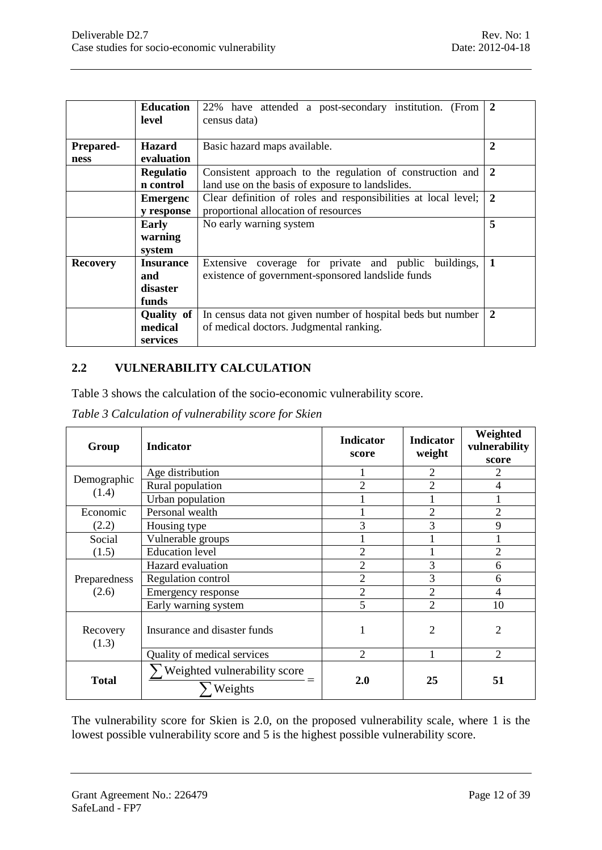|                  | <b>Education</b><br>level | 22% have attended a post-secondary institution. (From<br>census data) | $\overline{2}$ |  |
|------------------|---------------------------|-----------------------------------------------------------------------|----------------|--|
| <b>Prepared-</b> | <b>Hazard</b>             | $\mathbf{2}$<br>Basic hazard maps available.                          |                |  |
| ness             | evaluation                |                                                                       |                |  |
|                  | <b>Regulatio</b>          | Consistent approach to the regulation of construction and             | $\overline{2}$ |  |
|                  | n control                 | land use on the basis of exposure to landslides.                      |                |  |
|                  | <b>Emergenc</b>           | Clear definition of roles and responsibilities at local level;        | $\overline{2}$ |  |
|                  | y response                | proportional allocation of resources                                  |                |  |
|                  | Early                     | No early warning system                                               | 5              |  |
|                  | warning                   |                                                                       |                |  |
|                  | system                    |                                                                       |                |  |
| <b>Recovery</b>  | <b>Insurance</b>          | Extensive coverage for private and public buildings,                  | $\blacksquare$ |  |
|                  | and                       | existence of government-sponsored landslide funds                     |                |  |
|                  | disaster                  |                                                                       |                |  |
|                  | funds                     |                                                                       |                |  |
|                  | Quality of                | In census data not given number of hospital beds but number           | $\mathbf{2}$   |  |
|                  | medical                   | of medical doctors. Judgmental ranking.                               |                |  |
|                  | services                  |                                                                       |                |  |

#### <span id="page-11-0"></span>**2.2 VULNERABILITY CALCULATION**

[Table 3](#page-11-1) shows the calculation of the socio-economic vulnerability score.

<span id="page-11-1"></span>

| Group                | <b>Indicator</b>                        | <b>Indicator</b><br>score | <b>Indicator</b><br>weight | Weighted<br>vulnerability<br>score |
|----------------------|-----------------------------------------|---------------------------|----------------------------|------------------------------------|
|                      | Age distribution                        |                           | 2                          | 2                                  |
| Demographic<br>(1.4) | Rural population                        | $\overline{2}$            | 2                          | 4                                  |
|                      | Urban population                        |                           |                            |                                    |
| Economic             | Personal wealth                         |                           | $\overline{2}$             | $\overline{2}$                     |
| (2.2)                | Housing type                            | 3                         | 3                          | 9                                  |
| Social               | Vulnerable groups                       |                           |                            |                                    |
| (1.5)                | <b>Education</b> level                  | 2                         |                            | 2                                  |
|                      | Hazard evaluation                       | $\overline{2}$            | 3                          | 6                                  |
| Preparedness         | Regulation control                      | $\overline{2}$            | 3                          | 6                                  |
| (2.6)                | Emergency response                      | $\overline{2}$            | $\overline{2}$             | $\overline{4}$                     |
|                      | Early warning system                    | 5                         | $\overline{2}$             | 10                                 |
| Recovery<br>(1.3)    | Insurance and disaster funds            | 1                         | $\overline{2}$             | 2                                  |
|                      | Quality of medical services             | $\overline{2}$            | $\mathbf{1}$               | $\overline{2}$                     |
| <b>Total</b>         | Weighted vulnerability score<br>Weights | 2.0                       | 25                         | 51                                 |

The vulnerability score for Skien is 2.0, on the proposed vulnerability scale, where 1 is the lowest possible vulnerability score and 5 is the highest possible vulnerability score.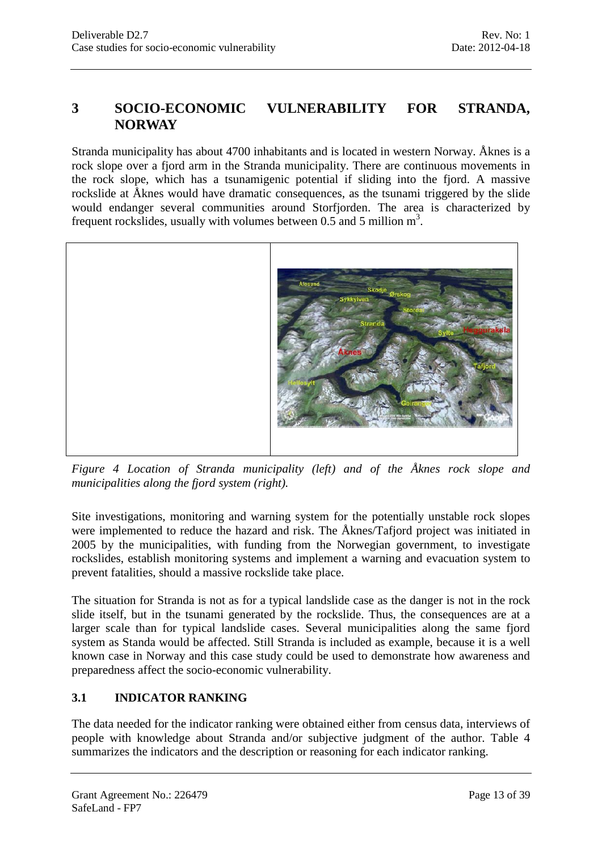# <span id="page-12-0"></span>**3 SOCIO-ECONOMIC VULNERABILITY FOR STRANDA, NORWAY**

Stranda municipality has about 4700 inhabitants and is located in western Norway. Åknes is a rock slope over a fjord arm in the Stranda municipality. There are continuous movements in the rock slope, which has a tsunamigenic potential if sliding into the fjord. A massive rockslide at Åknes would have dramatic consequences, as the tsunami triggered by the slide would endanger several communities around Storfjorden. The area is characterized by frequent rockslides, usually with volumes between 0.5 and 5 million  $m<sup>3</sup>$ .



*Figure 4 Location of Stranda municipality (left) and of the Åknes rock slope and municipalities along the fjord system (right).*

Site investigations, monitoring and warning system for the potentially unstable rock slopes were implemented to reduce the hazard and risk. The Åknes/Tafjord project was initiated in 2005 by the municipalities, with funding from the Norwegian government, to investigate rockslides, establish monitoring systems and implement a warning and evacuation system to prevent fatalities, should a massive rockslide take place.

The situation for Stranda is not as for a typical landslide case as the danger is not in the rock slide itself, but in the tsunami generated by the rockslide. Thus, the consequences are at a larger scale than for typical landslide cases. Several municipalities along the same fjord system as Standa would be affected. Still Stranda is included as example, because it is a well known case in Norway and this case study could be used to demonstrate how awareness and preparedness affect the socio-economic vulnerability.

# <span id="page-12-1"></span>**3.1 INDICATOR RANKING**

The data needed for the indicator ranking were obtained either from census data, interviews of people with knowledge about Stranda and/or subjective judgment of the author. [Table 4](#page-13-0) summarizes the indicators and the description or reasoning for each indicator ranking.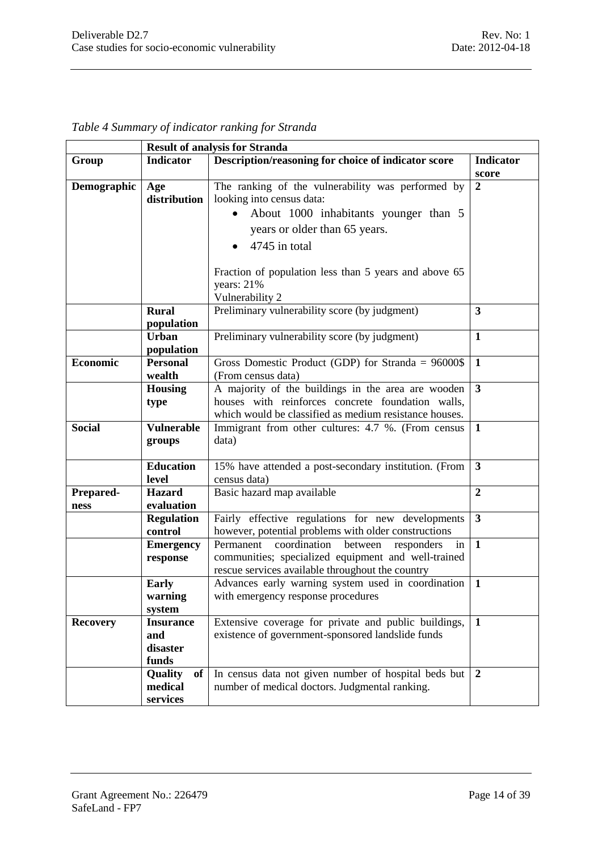| <b>Result of analysis for Stranda</b> |                                                                                                                                                                                                                                                                        |                                                                                                                                                                     |                           |
|---------------------------------------|------------------------------------------------------------------------------------------------------------------------------------------------------------------------------------------------------------------------------------------------------------------------|---------------------------------------------------------------------------------------------------------------------------------------------------------------------|---------------------------|
| Group                                 | Indicator                                                                                                                                                                                                                                                              | Description/reasoning for choice of indicator score                                                                                                                 | <b>Indicator</b><br>score |
| Demographic                           | The ranking of the vulnerability was performed by<br>Age<br>distribution<br>looking into census data:<br>About 1000 inhabitants younger than 5<br>years or older than 65 years.<br>4745 in total<br>$\bullet$<br>Fraction of population less than 5 years and above 65 |                                                                                                                                                                     | $\overline{2}$            |
|                                       |                                                                                                                                                                                                                                                                        | years: 21%<br>Vulnerability 2                                                                                                                                       |                           |
|                                       | <b>Rural</b><br>population                                                                                                                                                                                                                                             | Preliminary vulnerability score (by judgment)                                                                                                                       | $\mathbf{3}$              |
|                                       | <b>Urban</b><br>population                                                                                                                                                                                                                                             | Preliminary vulnerability score (by judgment)                                                                                                                       | $\mathbf{1}$              |
| <b>Economic</b>                       | <b>Personal</b><br>wealth                                                                                                                                                                                                                                              | Gross Domestic Product (GDP) for Stranda = $96000$ \$<br>(From census data)                                                                                         | $\mathbf{1}$              |
|                                       | <b>Housing</b><br>type                                                                                                                                                                                                                                                 | A majority of the buildings in the area are wooden<br>houses with reinforces concrete foundation walls,<br>which would be classified as medium resistance houses.   | $\overline{\mathbf{3}}$   |
| <b>Social</b>                         | <b>Vulnerable</b><br>groups                                                                                                                                                                                                                                            | Immigrant from other cultures: 4.7 %. (From census<br>data)                                                                                                         | -1                        |
|                                       | <b>Education</b><br>level                                                                                                                                                                                                                                              | 15% have attended a post-secondary institution. (From<br>census data)                                                                                               | $\mathbf{3}$              |
| Prepared-<br>ness                     | <b>Hazard</b><br>evaluation                                                                                                                                                                                                                                            | Basic hazard map available                                                                                                                                          | $\boldsymbol{2}$          |
|                                       | <b>Regulation</b><br>control                                                                                                                                                                                                                                           | Fairly effective regulations for new developments<br>however, potential problems with older constructions                                                           | 3                         |
|                                       | <b>Emergency</b><br>response                                                                                                                                                                                                                                           | Permanent<br>coordination<br>between<br>responders<br>in<br>communities; specialized equipment and well-trained<br>rescue services available throughout the country | $\mathbf{1}$              |
|                                       | <b>Early</b><br>warning<br>system                                                                                                                                                                                                                                      | Advances early warning system used in coordination<br>with emergency response procedures                                                                            | $\mathbf{1}$              |
| <b>Recovery</b>                       | <b>Insurance</b><br>and<br>disaster<br>funds                                                                                                                                                                                                                           | Extensive coverage for private and public buildings,<br>existence of government-sponsored landslide funds                                                           | 1                         |
|                                       | Quality<br>of<br>medical<br>services                                                                                                                                                                                                                                   | In census data not given number of hospital beds but<br>number of medical doctors. Judgmental ranking.                                                              | 2                         |

<span id="page-13-0"></span>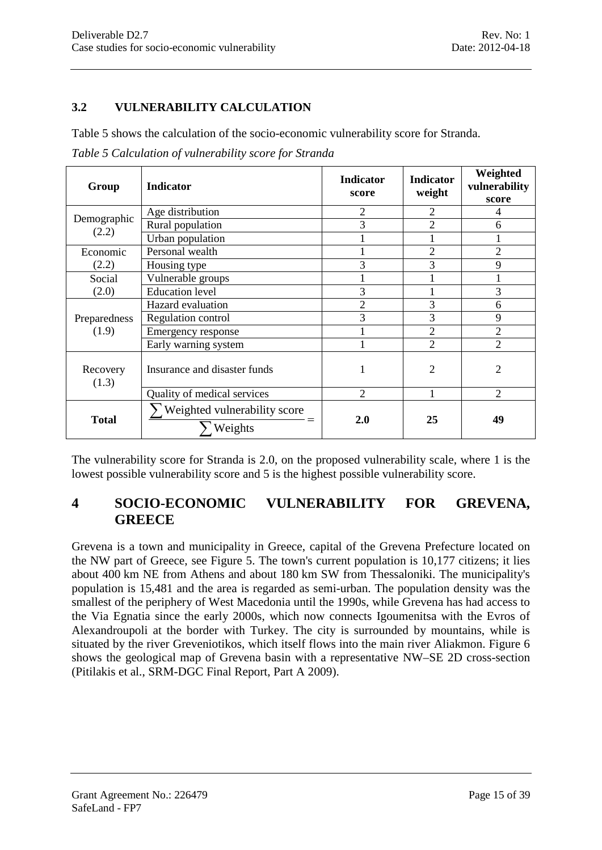#### <span id="page-14-0"></span>**3.2 VULNERABILITY CALCULATION**

[Table 5](#page-14-2) shows the calculation of the socio-economic vulnerability score for Stranda.

<span id="page-14-2"></span>

| Group                 | <b>Indicator</b>                               | <b>Indicator</b><br>score | <b>Indicator</b><br>weight | Weighted<br>vulnerability<br>score |
|-----------------------|------------------------------------------------|---------------------------|----------------------------|------------------------------------|
|                       | Age distribution                               | 2                         | $\overline{2}$             | 4                                  |
| Demographic<br>(2.2)  | Rural population                               | 3                         | $\overline{2}$             | 6                                  |
|                       | Urban population                               |                           |                            |                                    |
| Economic              | Personal wealth                                |                           | $\overline{2}$             | 2                                  |
| (2.2)                 | Housing type                                   | 3                         | 3                          | 9                                  |
| Social                | Vulnerable groups                              |                           |                            |                                    |
| (2.0)                 | <b>Education</b> level                         | 3                         |                            | 3                                  |
| Preparedness<br>(1.9) | Hazard evaluation                              | $\overline{2}$            | 3                          | 6                                  |
|                       | Regulation control                             | 3                         | 3                          | 9                                  |
|                       | Emergency response                             |                           | $\overline{2}$             | 2                                  |
|                       | Early warning system                           |                           | $\overline{2}$             | $\mathfrak{D}$                     |
| Recovery<br>(1.3)     | Insurance and disaster funds                   | 1                         | $\overline{2}$             | $\overline{c}$                     |
|                       | Quality of medical services                    | $\overline{2}$            |                            | $\overline{2}$                     |
| <b>Total</b>          | $\sum$ Weighted vulnerability score<br>Weights | 2.0                       | 25                         | 49                                 |

The vulnerability score for Stranda is 2.0, on the proposed vulnerability scale, where 1 is the lowest possible vulnerability score and 5 is the highest possible vulnerability score.

## <span id="page-14-1"></span>**4 SOCIO-ECONOMIC VULNERABILITY FOR GREVENA, GREECE**

Grevena is a town and [municipality](http://en.wikipedia.org/wiki/Communities_and_Municipalities_of_Greece) in [Greece,](http://en.wikipedia.org/wiki/Greece) capital of the Grevena Prefecture located on the NW part of Greece, see [Figure 5.](#page-15-0) The town's current population is 10,177 citizens; it lies about 400 km NE from [Athens](http://en.wikipedia.org/wiki/Athens) and about 180 km SW from [Thessaloniki.](http://en.wikipedia.org/wiki/Thessaloniki) The municipality's population is 15,481 and the area is regarded as semi-urban. The population density was the smallest of the periphery of West Macedonia until the 1990s, while Grevena has had access to the [Via Egnatia](http://en.wikipedia.org/wiki/Via_Egnatia) since the early 2000s, which now connects [Igoumenitsa](http://en.wikipedia.org/wiki/Igoumenitsa) with the [Evros](http://en.wikipedia.org/wiki/Maritsa) of [Alexandroupoli](http://en.wikipedia.org/wiki/Alexandroupoli) at the border with [Turkey.](http://en.wikipedia.org/wiki/Turkey) The city is surrounded by mountains, while is situated by the river [Greveniotikos,](http://en.wikipedia.org/w/index.php?title=Greveniotikos_river&action=edit&redlink=1) which itself flows into the main river [Aliakmon.](http://en.wikipedia.org/wiki/Aliakmon) [Figure 6](#page-16-0) shows the geological map of Grevena basin with a representative NW–SE 2D cross-section (Pitilakis et al., SRM-DGC Final Report, Part A 2009).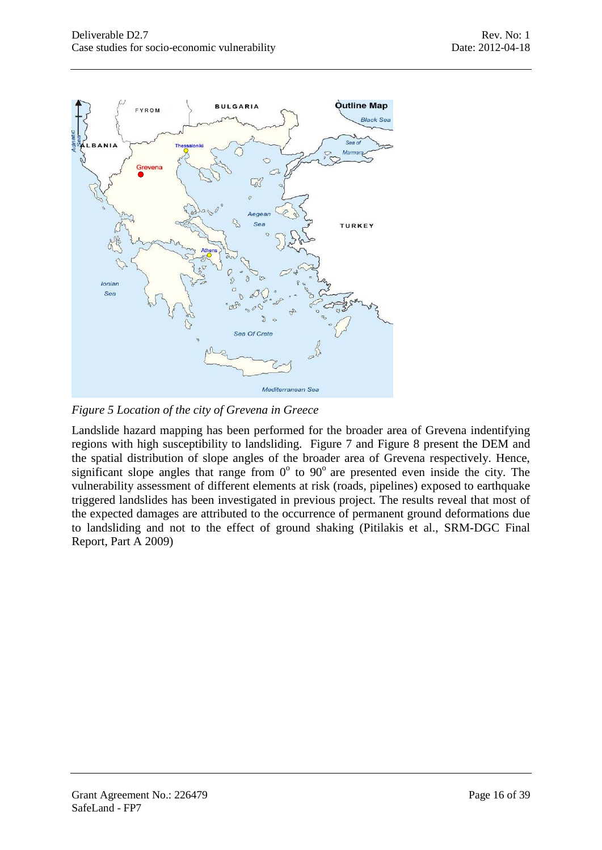

<span id="page-15-0"></span>*Figure 5 Location of the city of Grevena in Greece*

Landslide hazard mapping has been performed for the broader area of Grevena indentifying regions with high susceptibility to landsliding. [Figure 7](#page-16-1) and [Figure 8](#page-17-1) present the DEM and the spatial distribution of slope angles of the broader area of Grevena respectively. Hence, significant slope angles that range from  $0^{\circ}$  to  $90^{\circ}$  are presented even inside the city. The vulnerability assessment of different elements at risk (roads, pipelines) exposed to earthquake triggered landslides has been investigated in previous project. The results reveal that most of the expected damages are attributed to the occurrence of permanent ground deformations due to landsliding and not to the effect of ground shaking (Pitilakis et al., SRM-DGC Final Report, Part A 2009)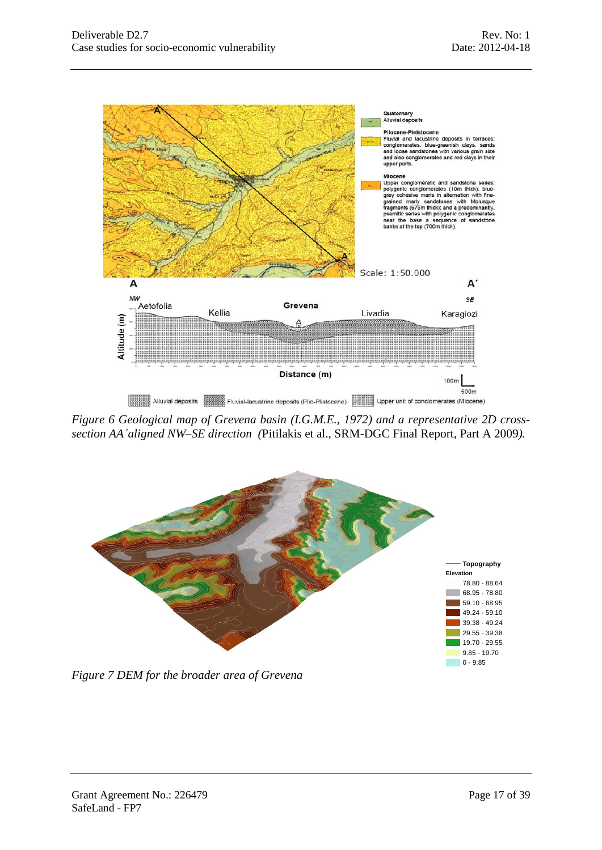

<span id="page-16-0"></span>*Figure 6 Geological map of Grevena basin (I.G.M.E., 1972) and a representative 2D crosssection AA΄aligned NW–SE direction (*Pitilakis et al., SRM-DGC Final Report, Part A 2009*).*



<span id="page-16-1"></span>*Figure 7 DEM for the broader area of Grevena*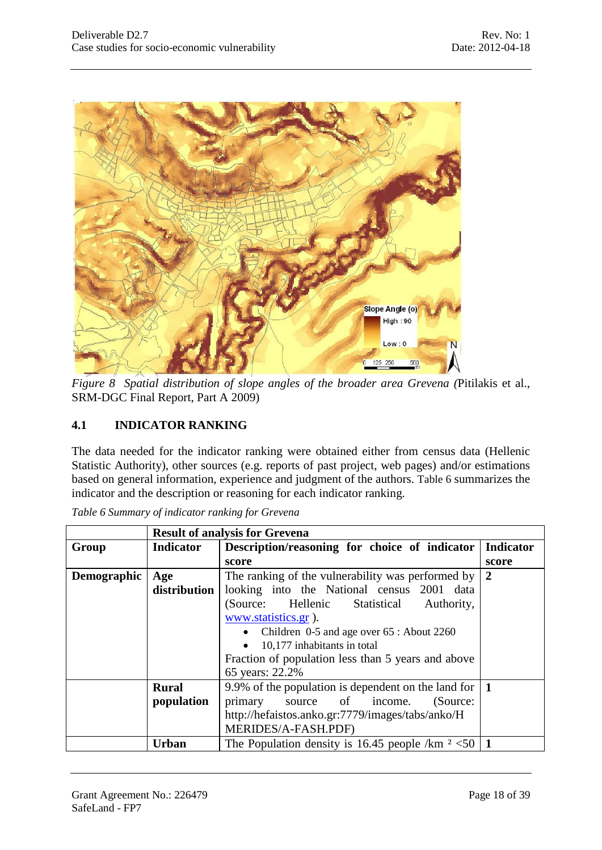

*Figure 8 Spatial distribution of slope angles of the broader area Grevena (*Pitilakis et al., SRM-DGC Final Report, Part A 2009)

# <span id="page-17-1"></span><span id="page-17-0"></span>**4.1 INDICATOR RANKING**

The data needed for the indicator ranking were obtained either from census data (Hellenic Statistic Authority), other sources (e.g. reports of past project, web pages) and/or estimations based on general information, experience and judgment of the authors. [Table 6](#page-17-2) summarizes the indicator and the description or reasoning for each indicator ranking.

|             |                  | <b>Result of analysis for Grevena</b>                  |                  |  |  |
|-------------|------------------|--------------------------------------------------------|------------------|--|--|
| Group       | <b>Indicator</b> | Description/reasoning for choice of indicator          | <b>Indicator</b> |  |  |
|             |                  | score                                                  | score            |  |  |
| Demographic | Age              | The ranking of the vulnerability was performed by      | 2                |  |  |
|             | distribution     | looking into the National census 2001 data             |                  |  |  |
|             |                  | (Source: Hellenic<br>Statistical<br>Authority,         |                  |  |  |
|             |                  | www.statistics.gr).                                    |                  |  |  |
|             |                  | Children 0-5 and age over 65 : About 2260<br>$\bullet$ |                  |  |  |
|             |                  | 10,177 inhabitants in total<br>$\bullet$               |                  |  |  |
|             |                  | Fraction of population less than 5 years and above     |                  |  |  |
|             |                  | 65 years: 22.2%                                        |                  |  |  |
|             | <b>Rural</b>     | 9.9% of the population is dependent on the land for    | $\mathbf 1$      |  |  |
|             | population       | source of income.<br>primary<br>(Source:               |                  |  |  |
|             |                  | http://hefaistos.anko.gr:7779/images/tabs/anko/H       |                  |  |  |
|             |                  | MERIDES/A-FASH.PDF)                                    |                  |  |  |
|             | Urban            | The Population density is 16.45 people /km $2$ <50   1 |                  |  |  |

<span id="page-17-2"></span>*Table 6 Summary of indicator ranking for Grevena*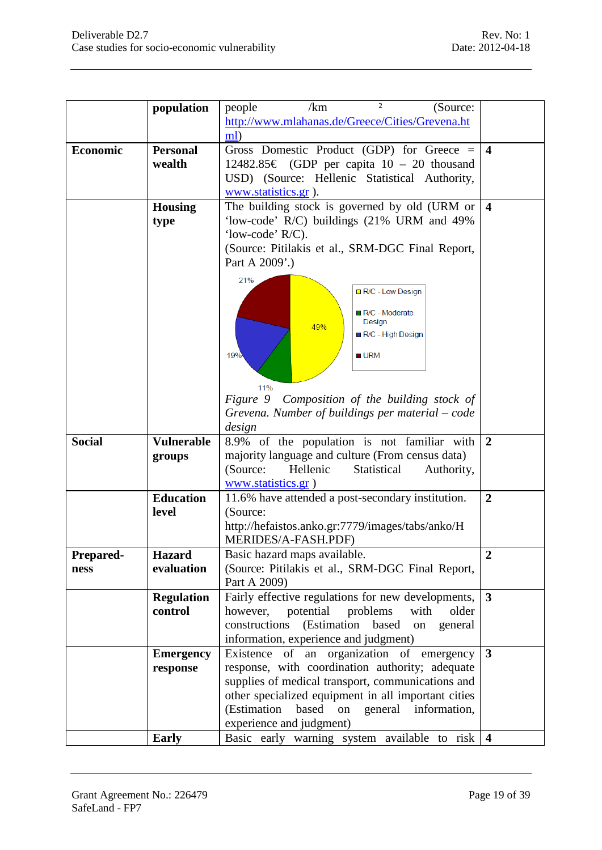|               | population        | $\mathbf{2}$<br>/km<br>people<br>(Source:              |                         |
|---------------|-------------------|--------------------------------------------------------|-------------------------|
|               |                   | http://www.mlahanas.de/Greece/Cities/Grevena.ht        |                         |
|               |                   | ml)                                                    |                         |
| Economic      | <b>Personal</b>   | Gross Domestic Product (GDP) for Greece $=$            | $\overline{\mathbf{4}}$ |
|               | wealth            | 12482.85 € (GDP per capita $10 - 20$ thousand          |                         |
|               |                   | USD) (Source: Hellenic Statistical Authority,          |                         |
|               |                   |                                                        |                         |
|               |                   | www.statistics.gr ).                                   |                         |
|               | <b>Housing</b>    | The building stock is governed by old (URM or          | $\overline{\mathbf{4}}$ |
|               | type              | 'low-code' R/C) buildings (21% URM and 49%             |                         |
|               |                   | 'low-code' R/C).                                       |                         |
|               |                   | (Source: Pitilakis et al., SRM-DGC Final Report,       |                         |
|               |                   | Part A 2009'.)                                         |                         |
|               |                   | 21%                                                    |                         |
|               |                   | R/C - Low Design                                       |                         |
|               |                   |                                                        |                         |
|               |                   | <b>■ R/C - Moderate</b><br>Design                      |                         |
|               |                   | 49%<br>R/C - High Design                               |                         |
|               |                   |                                                        |                         |
|               |                   | $\blacksquare$ URM<br>19%                              |                         |
|               |                   |                                                        |                         |
|               |                   | 11%                                                    |                         |
|               |                   | Composition of the building stock of<br>Figure 9       |                         |
|               |                   |                                                        |                         |
|               |                   | Grevena. Number of buildings per material – code       |                         |
|               |                   | design                                                 |                         |
| <b>Social</b> | <b>Vulnerable</b> | 8.9% of the population is not familiar with            | $\overline{2}$          |
|               | groups            | majority language and culture (From census data)       |                         |
|               |                   | (Source:<br>Hellenic<br>Statistical<br>Authority,      |                         |
|               |                   | www.statistics.gr)                                     |                         |
|               | <b>Education</b>  | 11.6% have attended a post-secondary institution.      | $\boldsymbol{2}$        |
|               | level             | (Source:                                               |                         |
|               |                   | http://hefaistos.anko.gr:7779/images/tabs/anko/H       |                         |
|               |                   | MERIDES/A-FASH.PDF)                                    |                         |
| Prepared-     | <b>Hazard</b>     | Basic hazard maps available.                           | $\boldsymbol{2}$        |
| ness          | evaluation        | (Source: Pitilakis et al., SRM-DGC Final Report,       |                         |
|               |                   | Part A 2009)                                           |                         |
|               |                   |                                                        |                         |
|               | <b>Regulation</b> | Fairly effective regulations for new developments,     | $\mathbf{3}$            |
|               | control           | potential<br>problems<br>with<br>older<br>however,     |                         |
|               |                   | (Estimation<br>constructions<br>based<br>on<br>general |                         |
|               |                   | information, experience and judgment)                  |                         |
|               | <b>Emergency</b>  | Existence of an organization of emergency              | $\mathbf{3}$            |
|               | response          | response, with coordination authority; adequate        |                         |
|               |                   | supplies of medical transport, communications and      |                         |
|               |                   | other specialized equipment in all important cities    |                         |
|               |                   | (Estimation<br>based<br>information,<br>general<br>on  |                         |
|               |                   | experience and judgment)                               |                         |
|               |                   |                                                        |                         |
|               | <b>Early</b>      | Basic early warning system available to risk           | $\overline{4}$          |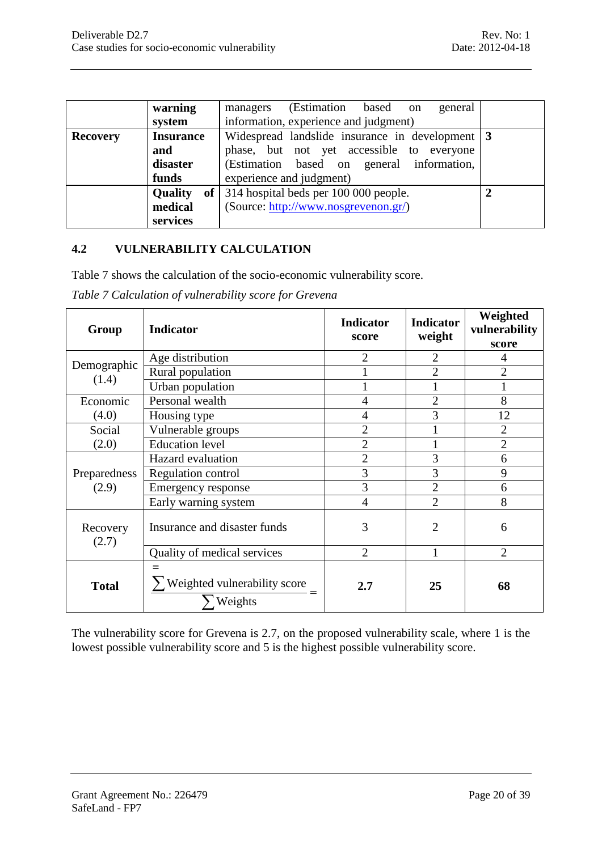|                 | warning                           | (Estimation<br>based on<br>general<br>managers  |   |
|-----------------|-----------------------------------|-------------------------------------------------|---|
|                 | system                            | information, experience and judgment)           |   |
| <b>Recovery</b> | <b>Insurance</b>                  | Widespread landslide insurance in development 3 |   |
|                 | and                               | phase, but not yet accessible to everyone       |   |
|                 | disaster                          | (Estimation based on general information,       |   |
|                 | funds                             | experience and judgment)                        |   |
|                 | <b>Quality</b><br>of <sub>l</sub> | 314 hospital beds per 100 000 people.           | ↑ |
|                 | medical                           | (Source: http://www.nosgrevenon.gr/)            |   |
|                 | services                          |                                                 |   |

#### <span id="page-19-0"></span>**4.2 VULNERABILITY CALCULATION**

[Table 7](#page-19-1) shows the calculation of the socio-economic vulnerability score.

<span id="page-19-1"></span>

| Table 7 Calculation of vulnerability score for Grevena |  |  |
|--------------------------------------------------------|--|--|
|                                                        |  |  |

| Group                 | Indicator                                          | <b>Indicator</b><br>score | <b>Indicator</b><br>weight | Weighted<br>vulnerability<br>score |
|-----------------------|----------------------------------------------------|---------------------------|----------------------------|------------------------------------|
|                       | Age distribution                                   | $\overline{2}$            | $\overline{2}$             | $\overline{4}$                     |
| Demographic<br>(1.4)  | Rural population                                   |                           | $\overline{2}$             | $\overline{2}$                     |
|                       | Urban population                                   |                           |                            | $\mathbf{1}$                       |
| Economic              | Personal wealth                                    | $\overline{4}$            | $\overline{2}$             | 8                                  |
| (4.0)                 | Housing type                                       | 4                         | 3                          | 12                                 |
| Social                | Vulnerable groups                                  | $\overline{2}$            |                            | $\overline{2}$                     |
| (2.0)                 | <b>Education</b> level                             | $\overline{2}$            |                            | $\overline{2}$                     |
|                       | Hazard evaluation                                  | $\overline{2}$            | 3                          | 6                                  |
| Preparedness<br>(2.9) | Regulation control                                 | 3                         | 3                          | 9                                  |
|                       | Emergency response                                 | 3                         | $\overline{2}$             | 6                                  |
|                       | Early warning system                               | $\overline{4}$            | $\overline{2}$             | 8                                  |
| Recovery<br>(2.7)     | Insurance and disaster funds                       | 3                         | $\overline{2}$             | 6                                  |
|                       | Quality of medical services                        | $\overline{2}$            |                            | $\overline{2}$                     |
| <b>Total</b>          | $=$<br>Weighted vulnerability score $=$<br>Weights | 2.7                       | 25                         | 68                                 |

The vulnerability score for Grevena is 2.7, on the proposed vulnerability scale, where 1 is the lowest possible vulnerability score and 5 is the highest possible vulnerability score.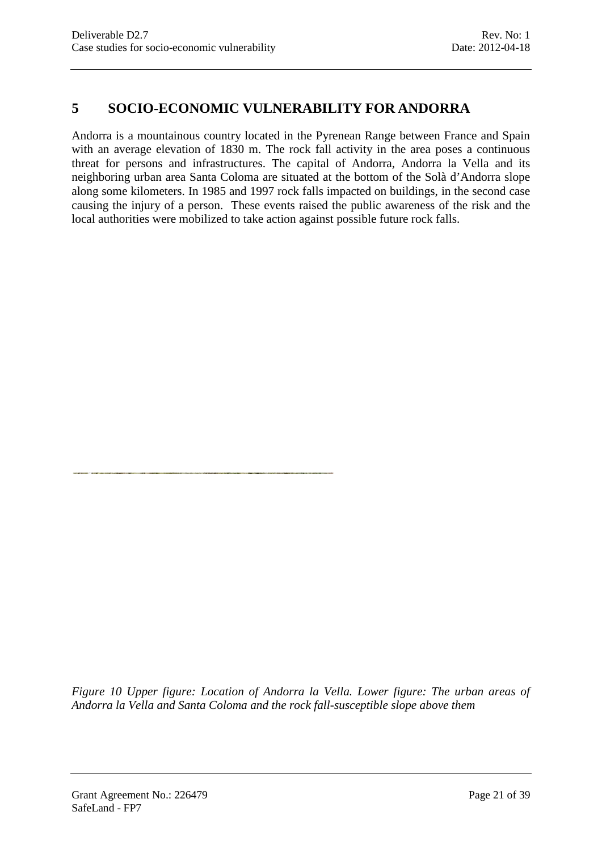# <span id="page-20-0"></span>**5 SOCIO-ECONOMIC VULNERABILITY FOR ANDORRA**

Andorra is a mountainous country located in the Pyrenean Range between France and Spain with an average elevation of 1830 m. The rock fall activity in the area poses a continuous threat for persons and infrastructures. The capital of Andorra, Andorra la Vella and its neighboring urban area Santa Coloma are situated at the bottom of the Solà d'Andorra slope along some kilometers. In 1985 and 1997 rock falls impacted on buildings, in the second case causing the injury of a person. These events raised the public awareness of the risk and the local authorities were mobilized to take action against possible future rock falls.

*Figure 10 Upper figure: Location of Andorra la Vella. Lower figure: The urban areas of Andorra la Vella and Santa Coloma and the rock fall-susceptible slope above them*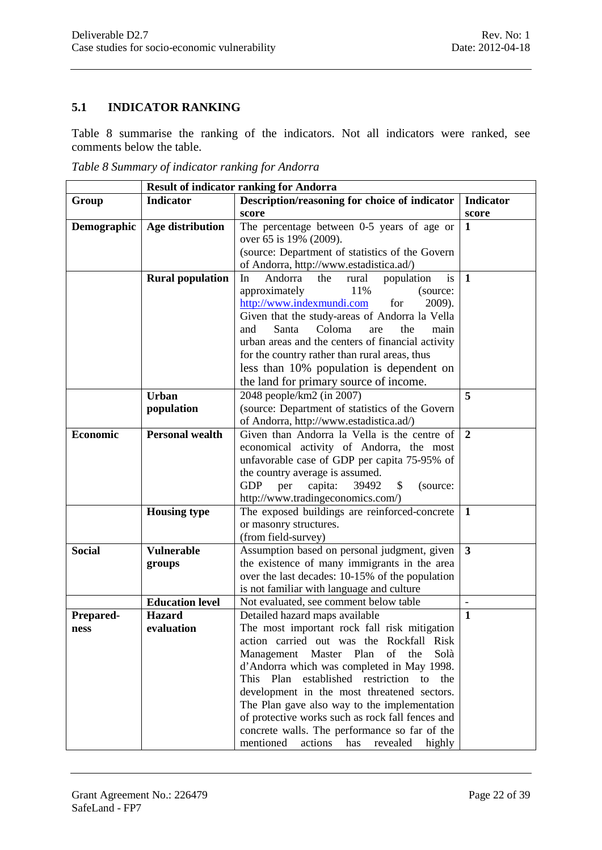## <span id="page-21-0"></span>**5.1 INDICATOR RANKING**

[Table 8](#page-21-1) summarise the ranking of the indicators. Not all indicators were ranked, see comments below the table.

<span id="page-21-1"></span>*Table 8 Summary of indicator ranking for Andorra*

|                                    | <b>Result of indicator ranking for Andorra</b>                                                              |                                                                                                                                                                                                                                                                                                                                                                                                                                                                                                                                                                                                                                                                                                                                                                                                                                                                                                                                                                                                                         |                                                         |  |  |
|------------------------------------|-------------------------------------------------------------------------------------------------------------|-------------------------------------------------------------------------------------------------------------------------------------------------------------------------------------------------------------------------------------------------------------------------------------------------------------------------------------------------------------------------------------------------------------------------------------------------------------------------------------------------------------------------------------------------------------------------------------------------------------------------------------------------------------------------------------------------------------------------------------------------------------------------------------------------------------------------------------------------------------------------------------------------------------------------------------------------------------------------------------------------------------------------|---------------------------------------------------------|--|--|
| Group                              | <b>Indicator</b>                                                                                            | Description/reasoning for choice of indicator                                                                                                                                                                                                                                                                                                                                                                                                                                                                                                                                                                                                                                                                                                                                                                                                                                                                                                                                                                           | <b>Indicator</b>                                        |  |  |
|                                    |                                                                                                             | score                                                                                                                                                                                                                                                                                                                                                                                                                                                                                                                                                                                                                                                                                                                                                                                                                                                                                                                                                                                                                   | score                                                   |  |  |
| Demographic                        | Age distribution                                                                                            | The percentage between 0-5 years of age or                                                                                                                                                                                                                                                                                                                                                                                                                                                                                                                                                                                                                                                                                                                                                                                                                                                                                                                                                                              | 1                                                       |  |  |
|                                    |                                                                                                             | over 65 is 19% (2009).                                                                                                                                                                                                                                                                                                                                                                                                                                                                                                                                                                                                                                                                                                                                                                                                                                                                                                                                                                                                  |                                                         |  |  |
|                                    |                                                                                                             | (source: Department of statistics of the Govern                                                                                                                                                                                                                                                                                                                                                                                                                                                                                                                                                                                                                                                                                                                                                                                                                                                                                                                                                                         |                                                         |  |  |
|                                    |                                                                                                             | of Andorra, http://www.estadistica.ad/)                                                                                                                                                                                                                                                                                                                                                                                                                                                                                                                                                                                                                                                                                                                                                                                                                                                                                                                                                                                 |                                                         |  |  |
|                                    | <b>Rural population</b>                                                                                     | Andorra<br>population<br>is<br>In<br>the<br>rural                                                                                                                                                                                                                                                                                                                                                                                                                                                                                                                                                                                                                                                                                                                                                                                                                                                                                                                                                                       | $\mathbf{1}$                                            |  |  |
|                                    |                                                                                                             | approximately<br>11%<br>(source:                                                                                                                                                                                                                                                                                                                                                                                                                                                                                                                                                                                                                                                                                                                                                                                                                                                                                                                                                                                        |                                                         |  |  |
|                                    |                                                                                                             | http://www.indexmundi.com<br>for<br>2009).                                                                                                                                                                                                                                                                                                                                                                                                                                                                                                                                                                                                                                                                                                                                                                                                                                                                                                                                                                              |                                                         |  |  |
|                                    |                                                                                                             | Given that the study-areas of Andorra la Vella                                                                                                                                                                                                                                                                                                                                                                                                                                                                                                                                                                                                                                                                                                                                                                                                                                                                                                                                                                          |                                                         |  |  |
|                                    |                                                                                                             | Santa<br>Coloma<br>the<br>and<br>are<br>main                                                                                                                                                                                                                                                                                                                                                                                                                                                                                                                                                                                                                                                                                                                                                                                                                                                                                                                                                                            |                                                         |  |  |
|                                    |                                                                                                             | urban areas and the centers of financial activity                                                                                                                                                                                                                                                                                                                                                                                                                                                                                                                                                                                                                                                                                                                                                                                                                                                                                                                                                                       |                                                         |  |  |
|                                    |                                                                                                             | for the country rather than rural areas, thus                                                                                                                                                                                                                                                                                                                                                                                                                                                                                                                                                                                                                                                                                                                                                                                                                                                                                                                                                                           |                                                         |  |  |
|                                    |                                                                                                             | less than 10% population is dependent on                                                                                                                                                                                                                                                                                                                                                                                                                                                                                                                                                                                                                                                                                                                                                                                                                                                                                                                                                                                |                                                         |  |  |
|                                    |                                                                                                             | the land for primary source of income.                                                                                                                                                                                                                                                                                                                                                                                                                                                                                                                                                                                                                                                                                                                                                                                                                                                                                                                                                                                  |                                                         |  |  |
|                                    | <b>Urban</b>                                                                                                | 2048 people/km2 (in 2007)                                                                                                                                                                                                                                                                                                                                                                                                                                                                                                                                                                                                                                                                                                                                                                                                                                                                                                                                                                                               | 5                                                       |  |  |
|                                    | population                                                                                                  | (source: Department of statistics of the Govern                                                                                                                                                                                                                                                                                                                                                                                                                                                                                                                                                                                                                                                                                                                                                                                                                                                                                                                                                                         |                                                         |  |  |
|                                    |                                                                                                             | of Andorra, http://www.estadistica.ad/)                                                                                                                                                                                                                                                                                                                                                                                                                                                                                                                                                                                                                                                                                                                                                                                                                                                                                                                                                                                 |                                                         |  |  |
| <b>Economic</b>                    | <b>Personal wealth</b>                                                                                      | Given than Andorra la Vella is the centre of                                                                                                                                                                                                                                                                                                                                                                                                                                                                                                                                                                                                                                                                                                                                                                                                                                                                                                                                                                            | $\overline{2}$                                          |  |  |
|                                    |                                                                                                             | economical activity of Andorra, the most                                                                                                                                                                                                                                                                                                                                                                                                                                                                                                                                                                                                                                                                                                                                                                                                                                                                                                                                                                                |                                                         |  |  |
|                                    |                                                                                                             | unfavorable case of GDP per capita 75-95% of                                                                                                                                                                                                                                                                                                                                                                                                                                                                                                                                                                                                                                                                                                                                                                                                                                                                                                                                                                            |                                                         |  |  |
|                                    |                                                                                                             |                                                                                                                                                                                                                                                                                                                                                                                                                                                                                                                                                                                                                                                                                                                                                                                                                                                                                                                                                                                                                         |                                                         |  |  |
|                                    |                                                                                                             |                                                                                                                                                                                                                                                                                                                                                                                                                                                                                                                                                                                                                                                                                                                                                                                                                                                                                                                                                                                                                         |                                                         |  |  |
|                                    |                                                                                                             |                                                                                                                                                                                                                                                                                                                                                                                                                                                                                                                                                                                                                                                                                                                                                                                                                                                                                                                                                                                                                         |                                                         |  |  |
|                                    |                                                                                                             |                                                                                                                                                                                                                                                                                                                                                                                                                                                                                                                                                                                                                                                                                                                                                                                                                                                                                                                                                                                                                         |                                                         |  |  |
|                                    |                                                                                                             |                                                                                                                                                                                                                                                                                                                                                                                                                                                                                                                                                                                                                                                                                                                                                                                                                                                                                                                                                                                                                         |                                                         |  |  |
|                                    |                                                                                                             |                                                                                                                                                                                                                                                                                                                                                                                                                                                                                                                                                                                                                                                                                                                                                                                                                                                                                                                                                                                                                         |                                                         |  |  |
|                                    |                                                                                                             |                                                                                                                                                                                                                                                                                                                                                                                                                                                                                                                                                                                                                                                                                                                                                                                                                                                                                                                                                                                                                         |                                                         |  |  |
|                                    |                                                                                                             |                                                                                                                                                                                                                                                                                                                                                                                                                                                                                                                                                                                                                                                                                                                                                                                                                                                                                                                                                                                                                         |                                                         |  |  |
|                                    |                                                                                                             |                                                                                                                                                                                                                                                                                                                                                                                                                                                                                                                                                                                                                                                                                                                                                                                                                                                                                                                                                                                                                         |                                                         |  |  |
|                                    |                                                                                                             |                                                                                                                                                                                                                                                                                                                                                                                                                                                                                                                                                                                                                                                                                                                                                                                                                                                                                                                                                                                                                         |                                                         |  |  |
|                                    |                                                                                                             |                                                                                                                                                                                                                                                                                                                                                                                                                                                                                                                                                                                                                                                                                                                                                                                                                                                                                                                                                                                                                         |                                                         |  |  |
|                                    |                                                                                                             |                                                                                                                                                                                                                                                                                                                                                                                                                                                                                                                                                                                                                                                                                                                                                                                                                                                                                                                                                                                                                         |                                                         |  |  |
|                                    |                                                                                                             |                                                                                                                                                                                                                                                                                                                                                                                                                                                                                                                                                                                                                                                                                                                                                                                                                                                                                                                                                                                                                         |                                                         |  |  |
|                                    |                                                                                                             |                                                                                                                                                                                                                                                                                                                                                                                                                                                                                                                                                                                                                                                                                                                                                                                                                                                                                                                                                                                                                         |                                                         |  |  |
|                                    |                                                                                                             |                                                                                                                                                                                                                                                                                                                                                                                                                                                                                                                                                                                                                                                                                                                                                                                                                                                                                                                                                                                                                         |                                                         |  |  |
|                                    |                                                                                                             |                                                                                                                                                                                                                                                                                                                                                                                                                                                                                                                                                                                                                                                                                                                                                                                                                                                                                                                                                                                                                         |                                                         |  |  |
|                                    |                                                                                                             |                                                                                                                                                                                                                                                                                                                                                                                                                                                                                                                                                                                                                                                                                                                                                                                                                                                                                                                                                                                                                         |                                                         |  |  |
|                                    |                                                                                                             |                                                                                                                                                                                                                                                                                                                                                                                                                                                                                                                                                                                                                                                                                                                                                                                                                                                                                                                                                                                                                         |                                                         |  |  |
|                                    |                                                                                                             |                                                                                                                                                                                                                                                                                                                                                                                                                                                                                                                                                                                                                                                                                                                                                                                                                                                                                                                                                                                                                         |                                                         |  |  |
|                                    |                                                                                                             |                                                                                                                                                                                                                                                                                                                                                                                                                                                                                                                                                                                                                                                                                                                                                                                                                                                                                                                                                                                                                         |                                                         |  |  |
|                                    |                                                                                                             |                                                                                                                                                                                                                                                                                                                                                                                                                                                                                                                                                                                                                                                                                                                                                                                                                                                                                                                                                                                                                         |                                                         |  |  |
|                                    |                                                                                                             |                                                                                                                                                                                                                                                                                                                                                                                                                                                                                                                                                                                                                                                                                                                                                                                                                                                                                                                                                                                                                         |                                                         |  |  |
| <b>Social</b><br>Prepared-<br>ness | <b>Housing type</b><br><b>Vulnerable</b><br>groups<br><b>Education level</b><br><b>Hazard</b><br>evaluation | the country average is assumed.<br><b>GDP</b><br>capita:<br>39492<br>\$<br>per<br>(source:<br>http://www.tradingeconomics.com/)<br>The exposed buildings are reinforced-concrete<br>or masonry structures.<br>(from field-survey)<br>Assumption based on personal judgment, given<br>the existence of many immigrants in the area<br>over the last decades: 10-15% of the population<br>is not familiar with language and culture<br>Not evaluated, see comment below table<br>Detailed hazard maps available<br>The most important rock fall risk mitigation<br>action carried out was the Rockfall Risk<br>Plan<br>of<br>Solà<br>Management<br>Master<br>the<br>d'Andorra which was completed in May 1998.<br>established restriction<br>This Plan<br>to the<br>development in the most threatened sectors.<br>The Plan gave also way to the implementation<br>of protective works such as rock fall fences and<br>concrete walls. The performance so far of the<br>mentioned<br>actions<br>has<br>revealed<br>highly | $\mathbf{1}$<br>$\overline{\mathbf{3}}$<br>$\mathbf{1}$ |  |  |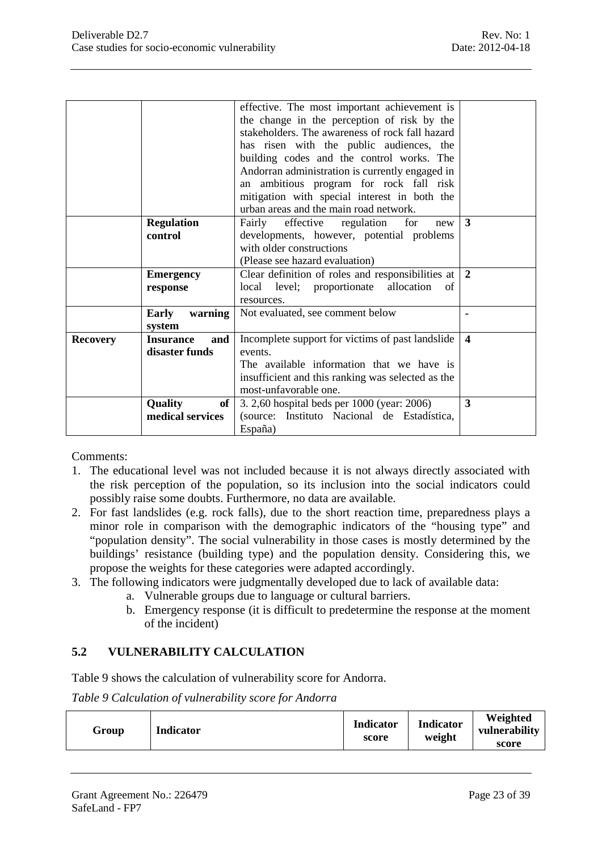|                 |                         | effective. The most important achievement is      |                         |
|-----------------|-------------------------|---------------------------------------------------|-------------------------|
|                 |                         | the change in the perception of risk by the       |                         |
|                 |                         | stakeholders. The awareness of rock fall hazard   |                         |
|                 |                         |                                                   |                         |
|                 |                         | has risen with the public audiences, the          |                         |
|                 |                         | building codes and the control works. The         |                         |
|                 |                         | Andorran administration is currently engaged in   |                         |
|                 |                         | an ambitious program for rock fall risk           |                         |
|                 |                         | mitigation with special interest in both the      |                         |
|                 |                         | urban areas and the main road network.            |                         |
|                 | <b>Regulation</b>       | effective regulation<br>Fairly<br>for<br>new      | 3                       |
|                 | control                 | developments, however, potential problems         |                         |
|                 |                         | with older constructions                          |                         |
|                 |                         | (Please see hazard evaluation)                    |                         |
|                 | <b>Emergency</b>        | Clear definition of roles and responsibilities at | $\overline{2}$          |
|                 | response                | local level; proportionate allocation<br>of       |                         |
|                 |                         | resources.                                        |                         |
|                 | warning<br>Early        | Not evaluated, see comment below                  |                         |
|                 | system                  |                                                   |                         |
| <b>Recovery</b> | <b>Insurance</b><br>and | Incomplete support for victims of past landslide  | $\overline{\mathbf{4}}$ |
|                 | disaster funds          | events.                                           |                         |
|                 |                         | The available information that we have is         |                         |
|                 |                         | insufficient and this ranking was selected as the |                         |
|                 |                         | most-unfavorable one.                             |                         |
|                 | <b>Quality</b><br>of 1  | 3. 2,60 hospital beds per 1000 (year: 2006)       | 3                       |
|                 | medical services        | (source: Instituto Nacional de Estadística,       |                         |
|                 |                         |                                                   |                         |
|                 |                         | España)                                           |                         |

Comments:

- 1. The educational level was not included because it is not always directly associated with the risk perception of the population, so its inclusion into the social indicators could possibly raise some doubts. Furthermore, no data are available.
- 2. For fast landslides (e.g. rock falls), due to the short reaction time, preparedness plays a minor role in comparison with the demographic indicators of the "housing type" and "population density". The social vulnerability in those cases is mostly determined by the buildings' resistance (building type) and the population density. Considering this, we propose the weights for these categories were adapted accordingly.
- 3. The following indicators were judgmentally developed due to lack of available data:
	- a. Vulnerable groups due to language or cultural barriers.
	- b. Emergency response (it is difficult to predetermine the response at the moment of the incident)

#### <span id="page-22-0"></span>**5.2 VULNERABILITY CALCULATION**

[Table 9](#page-22-1) shows the calculation of vulnerability score for Andorra.

<span id="page-22-1"></span>*Table 9 Calculation of vulnerability score for Andorra*

| <b>Indicator</b><br>Group | <b>Indicator</b><br>score | <b>Indicator</b><br>weight | Weighted<br>vulnerability<br>score |
|---------------------------|---------------------------|----------------------------|------------------------------------|
|---------------------------|---------------------------|----------------------------|------------------------------------|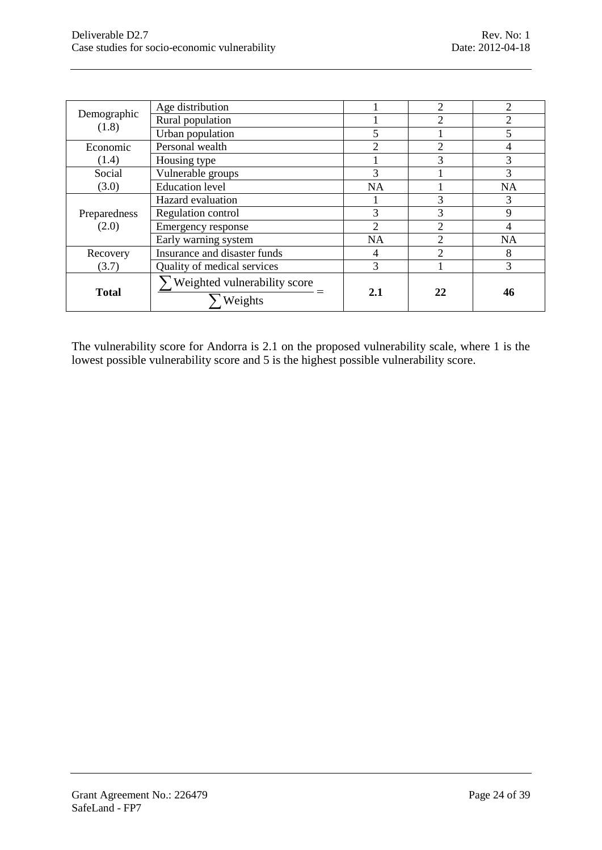| Demographic           | Age distribution             |                | $\overline{c}$              | 2         |
|-----------------------|------------------------------|----------------|-----------------------------|-----------|
|                       | Rural population             |                | $\mathcal{D}_{\mathcal{A}}$ |           |
| (1.8)                 | Urban population             | 5              |                             |           |
| Economic              | Personal wealth              | $\overline{2}$ | $\overline{2}$              | 4         |
| (1.4)                 | Housing type                 |                | 3                           | 3         |
| Social                | Vulnerable groups            | 3              |                             | 3         |
| (3.0)                 | <b>Education</b> level       | <b>NA</b>      |                             | <b>NA</b> |
|                       | Hazard evaluation            |                | 3                           | 3         |
| Preparedness<br>(2.0) | Regulation control           | 3              | 3                           | 9         |
|                       | Emergency response           | $\mathfrak{D}$ | $\mathfrak{D}$              | 4         |
|                       | Early warning system         | <b>NA</b>      | $\mathcal{D}_{\mathcal{A}}$ | <b>NA</b> |
| Recovery              | Insurance and disaster funds | 4              | $\mathfrak{D}$              | 8         |
| (3.7)                 | Quality of medical services  | 3              |                             | 3         |
|                       | Weighted vulnerability score | 2.1            | 22                          | 46        |
| <b>Total</b>          | Weights                      |                |                             |           |

The vulnerability score for Andorra is 2.1 on the proposed vulnerability scale, where 1 is the lowest possible vulnerability score and 5 is the highest possible vulnerability score.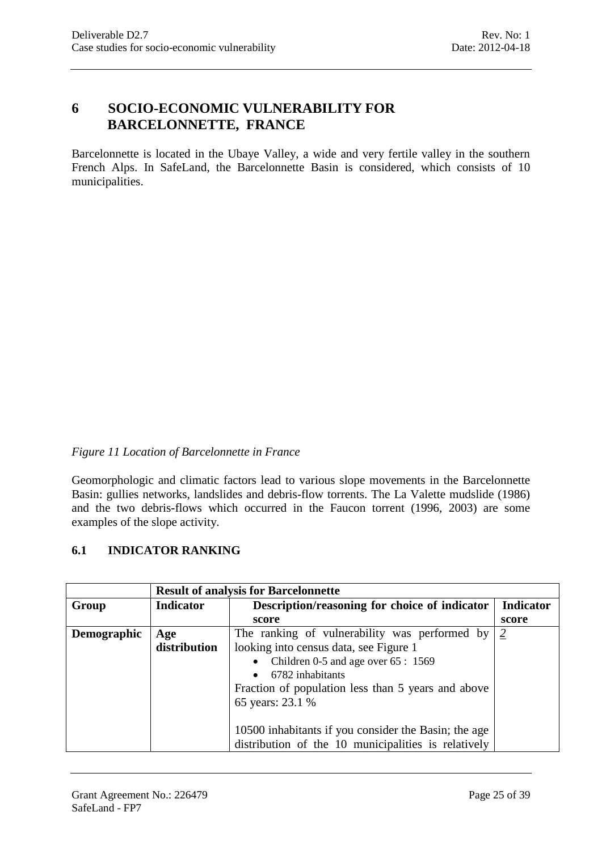# <span id="page-24-0"></span>**6 SOCIO-ECONOMIC VULNERABILITY FOR BARCELONNETTE, FRANCE**

Barcelonnette is located in the [Ubaye Valley,](http://en.wikipedia.org/wiki/Ubaye_Valley) a wide and very fertile valley in the southern [French Alps.](http://en.wikipedia.org/wiki/French_Alps) In SafeLand, the Barcelonnette Basin is considered, which consists of 10 municipalities.

#### *Figure 11 Location of Barcelonnette in France*

Geomorphologic and climatic factors lead to various slope movements in the Barcelonnette Basin: gullies networks, landslides and debris-flow torrents. The La Valette mudslide (1986) and the two debris-flows which occurred in the Faucon torrent (1996, 2003) are some examples of the slope activity.

#### <span id="page-24-1"></span>**6.1 INDICATOR RANKING**

|             | <b>Result of analysis for Barcelonnette</b> |                                                      |                  |  |  |
|-------------|---------------------------------------------|------------------------------------------------------|------------------|--|--|
| Group       | Indicator                                   | Description/reasoning for choice of indicator        | <b>Indicator</b> |  |  |
|             |                                             | score                                                | score            |  |  |
| Demographic | Age                                         | The ranking of vulnerability was performed by        | $\overline{2}$   |  |  |
|             | distribution                                | looking into census data, see Figure 1               |                  |  |  |
|             |                                             | Children 0-5 and age over 65 : 1569                  |                  |  |  |
|             |                                             | 6782 inhabitants                                     |                  |  |  |
|             |                                             | Fraction of population less than 5 years and above   |                  |  |  |
|             |                                             | 65 years: 23.1 %                                     |                  |  |  |
|             |                                             |                                                      |                  |  |  |
|             |                                             | 10500 inhabitants if you consider the Basin; the age |                  |  |  |
|             |                                             | distribution of the 10 municipalities is relatively  |                  |  |  |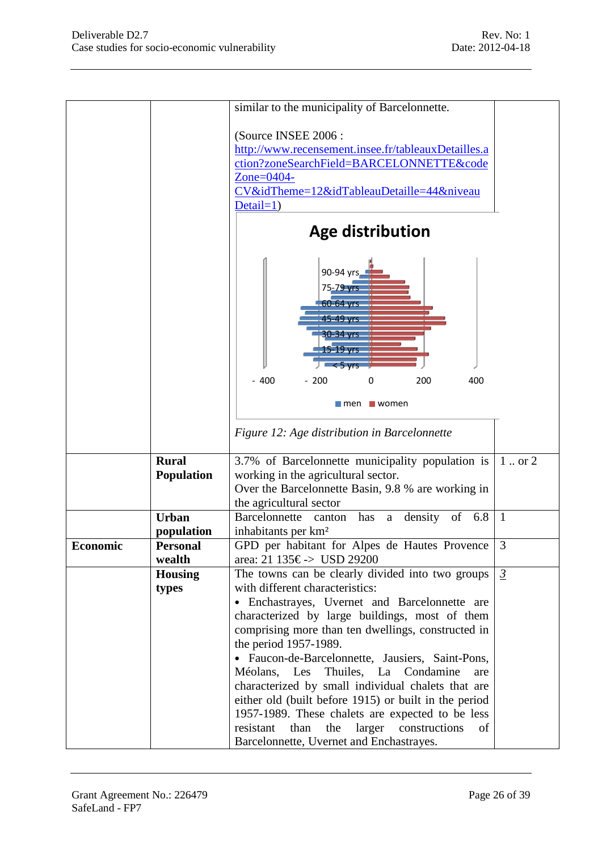|          |                   | similar to the municipality of Barcelonnette.                  |                |  |  |  |
|----------|-------------------|----------------------------------------------------------------|----------------|--|--|--|
|          |                   |                                                                |                |  |  |  |
|          |                   | (Source INSEE 2006 :                                           |                |  |  |  |
|          |                   | http://www.recensement.insee.fr/tableauxDetailles.a            |                |  |  |  |
|          |                   | ction?zoneSearchField=BARCELONNETTE&code                       |                |  |  |  |
|          |                   | Zone= $0404$ -                                                 |                |  |  |  |
|          |                   | CV&idTheme=12&idTableauDetaille=44&niveau                      |                |  |  |  |
|          |                   | $Details=1)$                                                   |                |  |  |  |
|          |                   | <b>Age distribution</b>                                        |                |  |  |  |
|          |                   | 90-94 yrs.<br>75-79 yrs<br>60-64 yrs<br>45-49 yrs<br>30-34 yrs |                |  |  |  |
|          |                   | 15-19 yrs<br>$< 5 \text{ yrs}$                                 |                |  |  |  |
|          |                   | $-400$<br>$-200$<br>200<br>400<br>0                            |                |  |  |  |
|          |                   |                                                                |                |  |  |  |
|          |                   | $\blacksquare$ men<br>$\blacksquare$ women                     |                |  |  |  |
|          |                   | Figure 12: Age distribution in Barcelonnette                   |                |  |  |  |
|          | <b>Rural</b>      | 3.7% of Barcelonnette municipality population is               | 1  or 2        |  |  |  |
|          | <b>Population</b> | working in the agricultural sector.                            |                |  |  |  |
|          |                   | Over the Barcelonnette Basin, 9.8 % are working in             |                |  |  |  |
|          |                   | the agricultural sector                                        |                |  |  |  |
|          | <b>Urban</b>      | <b>Barcelonnette</b><br>density of 6.8<br>canton has a         | $\mathbf{1}$   |  |  |  |
|          | population        | inhabitants per km <sup>2</sup>                                |                |  |  |  |
| Economic | <b>Personal</b>   | GPD per habitant for Alpes de Hautes Provence                  | $\mathfrak{Z}$ |  |  |  |
|          | wealth            | area: 21 135€-> USD 29200                                      |                |  |  |  |
|          | <b>Housing</b>    | The towns can be clearly divided into two groups               | $\frac{3}{2}$  |  |  |  |
|          | types             | with different characteristics:                                |                |  |  |  |
|          |                   | • Enchastrayes, Uvernet and Barcelonnette are                  |                |  |  |  |
|          |                   | characterized by large buildings, most of them                 |                |  |  |  |
|          |                   | comprising more than ten dwellings, constructed in             |                |  |  |  |
|          |                   | the period 1957-1989.                                          |                |  |  |  |
|          |                   | • Faucon-de-Barcelonnette, Jausiers, Saint-Pons,               |                |  |  |  |
|          |                   | Méolans, Les<br>Thuiles, La Condamine<br>are                   |                |  |  |  |
|          |                   | characterized by small individual chalets that are             |                |  |  |  |
|          |                   | either old (built before 1915) or built in the period          |                |  |  |  |
|          |                   | 1957-1989. These chalets are expected to be less               |                |  |  |  |
|          |                   | resistant<br>than<br>the<br>larger<br>constructions<br>οf      |                |  |  |  |
|          |                   | Barcelonnette, Uvernet and Enchastrayes.                       |                |  |  |  |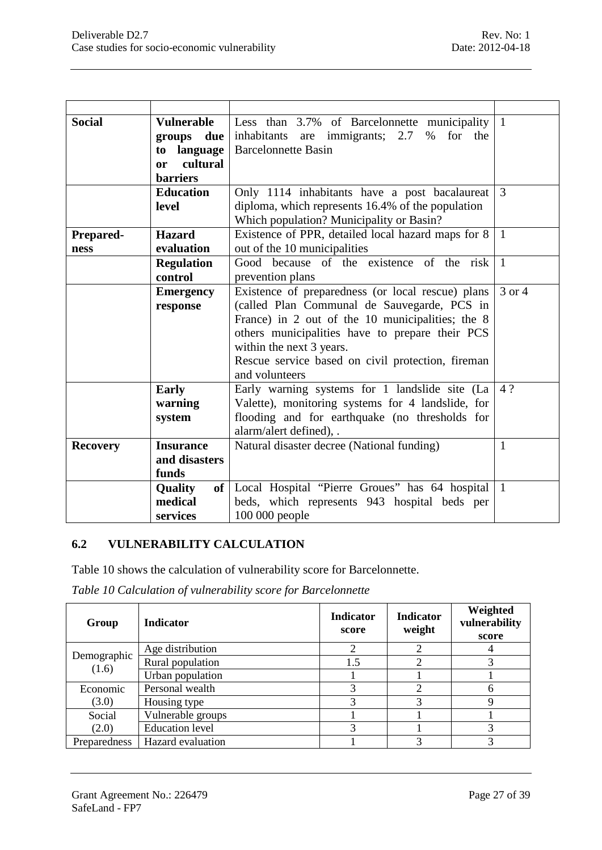| <b>Social</b>    | <b>Vulnerable</b> | Less than 3.7% of Barcelonnette municipality          | $\mathbf{1}$   |
|------------------|-------------------|-------------------------------------------------------|----------------|
|                  | groups due        | inhabitants are immigrants; 2.7<br>$\%$<br>for<br>the |                |
|                  | language<br>to    | <b>Barcelonnette Basin</b>                            |                |
|                  | cultural<br>or    |                                                       |                |
|                  | <b>barriers</b>   |                                                       |                |
|                  | <b>Education</b>  | Only 1114 inhabitants have a post bacalaureat         | 3              |
|                  | level             | diploma, which represents 16.4% of the population     |                |
|                  |                   | Which population? Municipality or Basin?              |                |
| <b>Prepared-</b> | <b>Hazard</b>     | Existence of PPR, detailed local hazard maps for 8    | $\mathbf{1}$   |
| ness             | evaluation        | out of the 10 municipalities                          |                |
|                  | <b>Regulation</b> | Good because of the existence of the risk             | $\overline{1}$ |
|                  | control           | prevention plans                                      |                |
|                  | <b>Emergency</b>  | Existence of preparedness (or local rescue) plans     | 3 or 4         |
|                  | response          | (called Plan Communal de Sauvegarde, PCS in           |                |
|                  |                   | France) in 2 out of the 10 municipalities; the 8      |                |
|                  |                   | others municipalities have to prepare their PCS       |                |
|                  |                   | within the next 3 years.                              |                |
|                  |                   | Rescue service based on civil protection, fireman     |                |
|                  |                   | and volunteers                                        |                |
|                  | <b>Early</b>      | Early warning systems for 1 landslide site (La        | 4?             |
|                  | warning           | Valette), monitoring systems for 4 landslide, for     |                |
|                  | system            | flooding and for earthquake (no thresholds for        |                |
|                  |                   | alarm/alert defined), .                               |                |
| <b>Recovery</b>  | <b>Insurance</b>  | Natural disaster decree (National funding)            | 1              |
|                  | and disasters     |                                                       |                |
|                  | funds             |                                                       |                |
|                  | <b>Quality</b>    | of   Local Hospital "Pierre Groues" has 64 hospital   | $\mathbf{1}$   |
|                  | medical           | beds, which represents 943 hospital beds per          |                |
|                  | services          | 100 000 people                                        |                |

#### <span id="page-26-0"></span>**6.2 VULNERABILITY CALCULATION**

[Table 10](#page-26-1) shows the calculation of vulnerability score for Barcelonnette.

<span id="page-26-1"></span>*Table 10 Calculation of vulnerability score for Barcelonnette*

| Group                | <b>Indicator</b>       | <b>Indicator</b><br>score | <b>Indicator</b><br>weight | Weighted<br>vulnerability<br>score |
|----------------------|------------------------|---------------------------|----------------------------|------------------------------------|
|                      | Age distribution       | っ                         |                            | 4                                  |
| Demographic<br>(1.6) | Rural population       | 1.5                       |                            |                                    |
|                      | Urban population       |                           |                            |                                    |
| Economic             | Personal wealth        | 3                         |                            | h                                  |
| (3.0)                | Housing type           | 3                         |                            |                                    |
| Social               | Vulnerable groups      |                           |                            |                                    |
| (2.0)                | <b>Education</b> level | 3                         |                            | 3                                  |
| Preparedness         | Hazard evaluation      |                           |                            |                                    |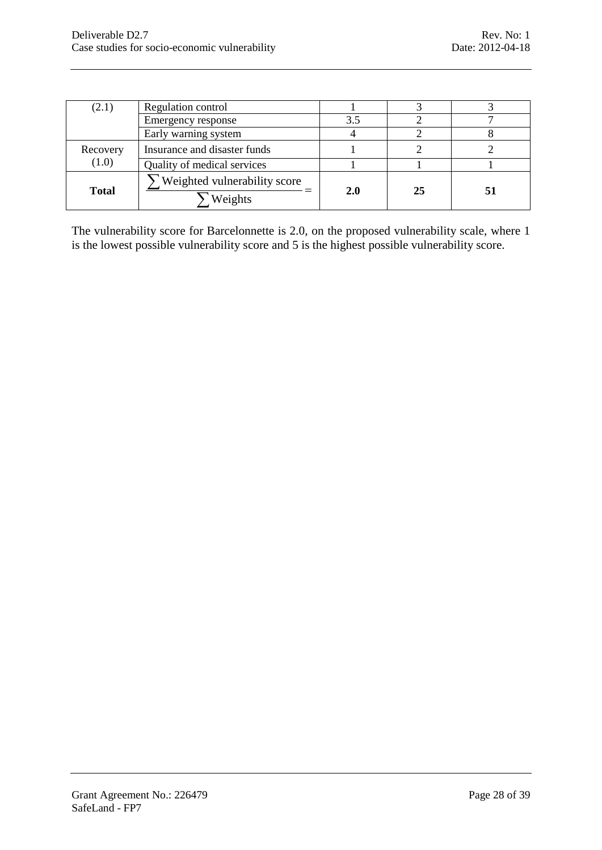| (2.1)        | Regulation control                      |     |    |    |
|--------------|-----------------------------------------|-----|----|----|
|              | Emergency response                      | 3.5 |    |    |
|              | Early warning system                    |     |    |    |
| Recovery     | Insurance and disaster funds            |     |    |    |
| (1.0)        | Quality of medical services             |     |    |    |
| <b>Total</b> | Weighted vulnerability score<br>Weights | 2.0 | 25 | 51 |

The vulnerability score for Barcelonnette is 2.0, on the proposed vulnerability scale, where 1 is the lowest possible vulnerability score and 5 is the highest possible vulnerability score.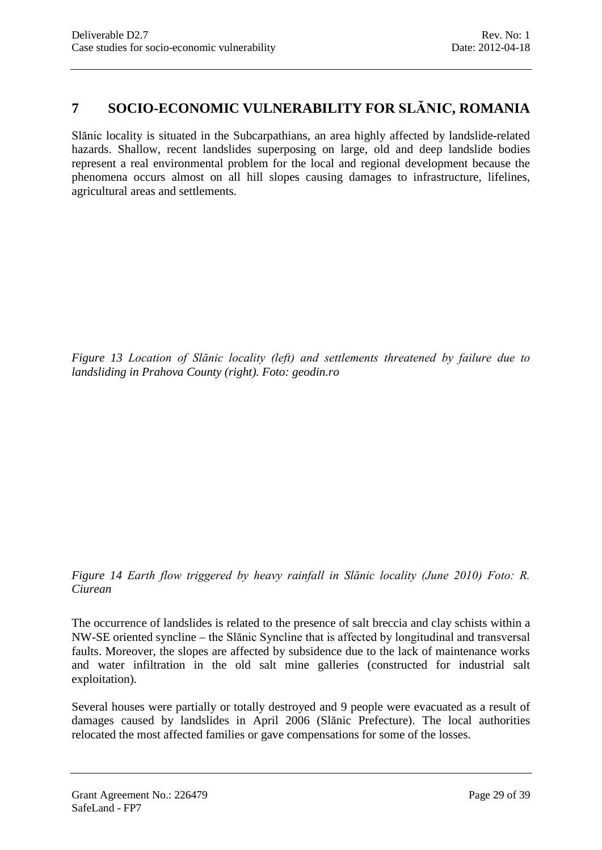# <span id="page-28-0"></span>**7 SOCIO-ECONOMIC VULNERABILITY FOR SLĂNIC, ROMANIA**

Slănic locality is situated in the Subcarpathians, an area highly affected by landslide-related hazards. Shallow, recent landslides superposing on large, old and deep landslide bodies represent a real environmental problem for the local and regional development because the phenomena occurs almost on all hill slopes causing damages to infrastructure, lifelines, agricultural areas and settlements.

*Figure 13 Location of Slănic locality (left) and settlements threatened by failure due to landsliding in Prahova County (right). Foto: geodin.ro*

*Figure 14 Earth flow triggered by heavy rainfall in Slănic locality (June 2010) Foto: R. Ciurean*

The occurrence of landslides is related to the presence of salt breccia and clay schists within a NW-SE oriented syncline – the Slănic Syncline that is affected by longitudinal and transversal faults. Moreover, the slopes are affected by subsidence due to the lack of maintenance works and water infiltration in the old salt mine galleries (constructed for industrial salt exploitation).

Several houses were partially or totally destroyed and 9 people were evacuated as a result of damages caused by landslides in April 2006 (Slănic Prefecture). The local authorities relocated the most affected families or gave compensations for some of the losses.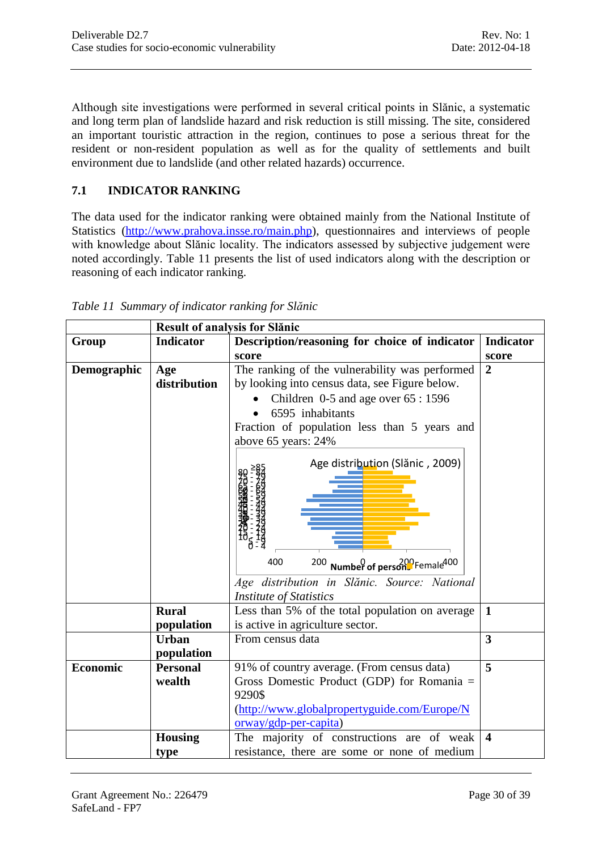Although site investigations were performed in several critical points in Slănic, a systematic and long term plan of landslide hazard and risk reduction is still missing. The site, considered an important touristic attraction in the region, continues to pose a serious threat for the resident or non-resident population as well as for the quality of settlements and built environment due to landslide (and other related hazards) occurrence.

# <span id="page-29-0"></span>**7.1 INDICATOR RANKING**

The data used for the indicator ranking were obtained mainly from the National Institute of Statistics [\(http://www.prahova.insse.ro/main.php\)](http://www.prahova.insse.ro/main.php), questionnaires and interviews of people with knowledge about Slănic locality. The indicators assessed by subjective judgement were noted accordingly. [Table 11](#page-29-1) presents the list of used indicators along with the description or reasoning of each indicator ranking.

|                 | <b>Result of analysis for Slănic</b> |                                                    |                         |  |
|-----------------|--------------------------------------|----------------------------------------------------|-------------------------|--|
| Group           | <b>Indicator</b>                     | Description/reasoning for choice of indicator      | <b>Indicator</b>        |  |
|                 |                                      | score                                              | score                   |  |
| Demographic     | Age                                  | The ranking of the vulnerability was performed     | $\overline{2}$          |  |
|                 | distribution                         | by looking into census data, see Figure below.     |                         |  |
|                 |                                      | Children $0-5$ and age over $65:1596$              |                         |  |
|                 |                                      | 6595 inhabitants                                   |                         |  |
|                 |                                      | Fraction of population less than 5 years and       |                         |  |
|                 |                                      | above 65 years: 24%                                |                         |  |
|                 |                                      | Age distribution (Slănic, 2009)                    |                         |  |
|                 |                                      |                                                    |                         |  |
|                 |                                      |                                                    |                         |  |
|                 |                                      |                                                    |                         |  |
|                 |                                      |                                                    |                         |  |
|                 |                                      | 400<br>200 Number of persons Female <sup>400</sup> |                         |  |
|                 |                                      | Age distribution in Slănic. Source: National       |                         |  |
|                 |                                      | <b>Institute of Statistics</b>                     |                         |  |
|                 | <b>Rural</b>                         | Less than 5% of the total population on average    | $\mathbf{1}$            |  |
|                 | population                           | is active in agriculture sector.                   |                         |  |
|                 | <b>Urban</b>                         | From census data                                   | $\overline{3}$          |  |
|                 | population                           |                                                    |                         |  |
| <b>Economic</b> | <b>Personal</b>                      | 91% of country average. (From census data)         | 5                       |  |
|                 | wealth                               | Gross Domestic Product (GDP) for Romania =         |                         |  |
|                 |                                      | 9290\$                                             |                         |  |
|                 |                                      | (http://www.globalpropertyguide.com/Europe/N       |                         |  |
|                 |                                      | $orway/gdp-per-capita)$                            |                         |  |
|                 | <b>Housing</b>                       | The majority of constructions are of weak          | $\overline{\mathbf{4}}$ |  |
|                 | type                                 | resistance, there are some or none of medium       |                         |  |

<span id="page-29-1"></span>*Table 11 Summary of indicator ranking for Slănic*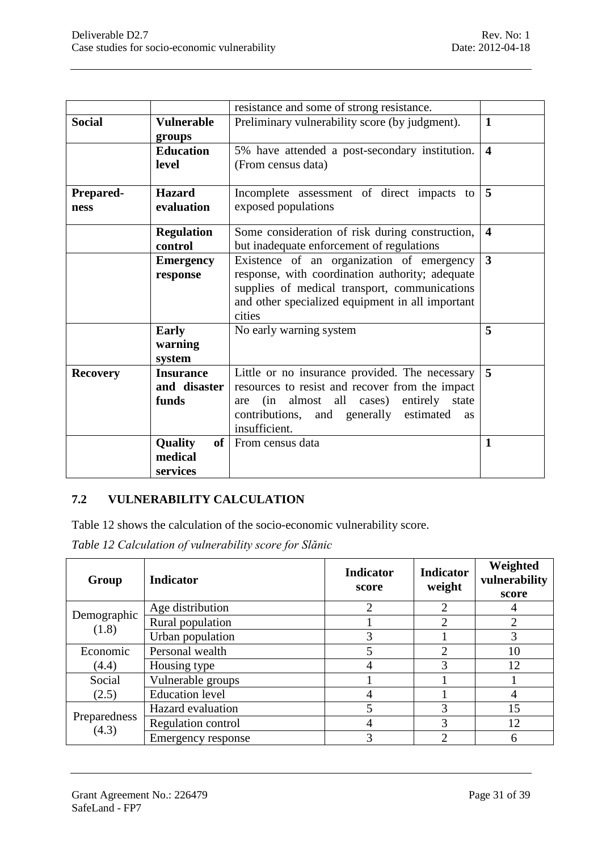|                          |                                           | resistance and some of strong resistance.                                                                                                                                                                                |                         |
|--------------------------|-------------------------------------------|--------------------------------------------------------------------------------------------------------------------------------------------------------------------------------------------------------------------------|-------------------------|
| <b>Social</b>            | <b>Vulnerable</b><br>groups               | Preliminary vulnerability score (by judgment).                                                                                                                                                                           | $\mathbf{1}$            |
|                          | <b>Education</b><br>level                 | 5% have attended a post-secondary institution.<br>(From census data)                                                                                                                                                     | $\overline{\mathbf{4}}$ |
| <b>Prepared-</b><br>ness | <b>Hazard</b><br>evaluation               | Incomplete assessment of direct impacts to<br>exposed populations                                                                                                                                                        | 5                       |
|                          | <b>Regulation</b><br>control              | Some consideration of risk during construction,<br>but inadequate enforcement of regulations                                                                                                                             | $\overline{\mathbf{4}}$ |
|                          | <b>Emergency</b><br>response              | Existence of an organization of emergency<br>response, with coordination authority; adequate<br>supplies of medical transport, communications<br>and other specialized equipment in all important<br>cities              | 3                       |
|                          | <b>Early</b><br>warning<br>system         | No early warning system                                                                                                                                                                                                  | 5                       |
| <b>Recovery</b>          | <b>Insurance</b><br>and disaster<br>funds | Little or no insurance provided. The necessary<br>resources to resist and recover from the impact<br>(in almost all cases) entirely state<br>are<br>contributions, and generally estimated<br><b>as</b><br>insufficient. | 5                       |
|                          | of<br>Quality<br>medical<br>services      | From census data                                                                                                                                                                                                         | $\mathbf{1}$            |

# <span id="page-30-0"></span>**7.2 VULNERABILITY CALCULATION**

[Table 12](#page-30-1) shows the calculation of the socio-economic vulnerability score.

<span id="page-30-1"></span>*Table 12 Calculation of vulnerability score for Slănic*

| Group                | <b>Indicator</b>          | <b>Indicator</b><br>score | <b>Indicator</b><br>weight  | Weighted<br>vulnerability<br>score |
|----------------------|---------------------------|---------------------------|-----------------------------|------------------------------------|
|                      | Age distribution          | ↑                         | C                           | 4                                  |
| Demographic<br>(1.8) | Rural population          |                           | $\mathcal{D}_{\mathcal{L}}$ | $\overline{2}$                     |
|                      | Urban population          | 3                         |                             | 3                                  |
| Economic             | Personal wealth           |                           | $\overline{2}$              | 10                                 |
| (4.4)                | Housing type              | 4                         | 3                           | 12                                 |
| Social               | Vulnerable groups         |                           |                             |                                    |
| (2.5)                | <b>Education</b> level    | 4                         |                             | $\overline{4}$                     |
| Preparedness         | Hazard evaluation         | 5                         | 3                           | 15                                 |
|                      | <b>Regulation control</b> | 4                         | 3                           | 12                                 |
| (4.3)                | Emergency response        | 3                         | $\mathcal{D}_{\cdot}$       | 6                                  |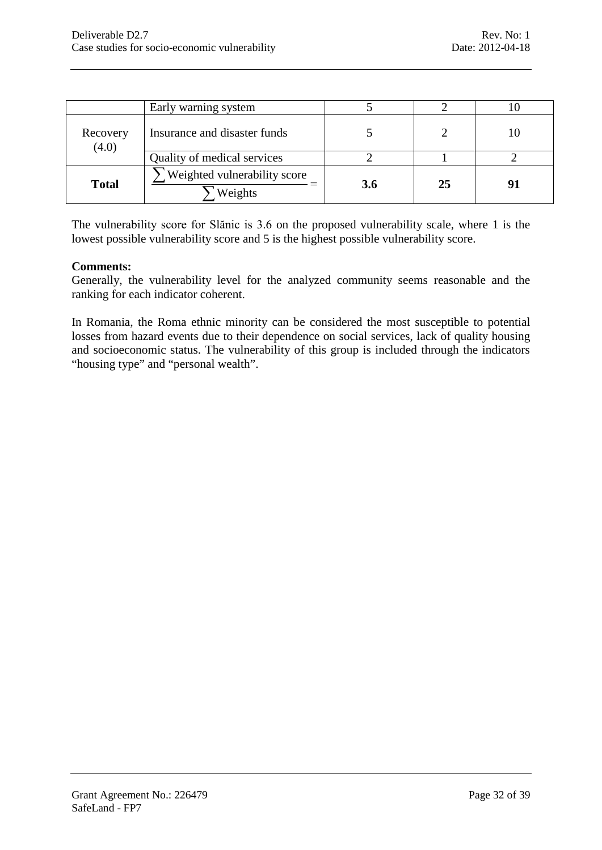|                   | Early warning system                    |     |    |    |
|-------------------|-----------------------------------------|-----|----|----|
| Recovery<br>(4.0) | Insurance and disaster funds            |     |    |    |
|                   | Quality of medical services             |     |    |    |
| <b>Total</b>      | Weighted vulnerability score<br>Weights | 3.6 | 25 | Q^ |

The vulnerability score for Slănic is 3.6 on the proposed vulnerability scale, where 1 is the lowest possible vulnerability score and 5 is the highest possible vulnerability score.

#### **Comments:**

Generally, the vulnerability level for the analyzed community seems reasonable and the ranking for each indicator coherent.

In Romania, the Roma ethnic minority can be considered the most susceptible to potential losses from hazard events due to their dependence on social services, lack of quality housing and socioeconomic status. The vulnerability of this group is included through the indicators "housing type" and "personal wealth".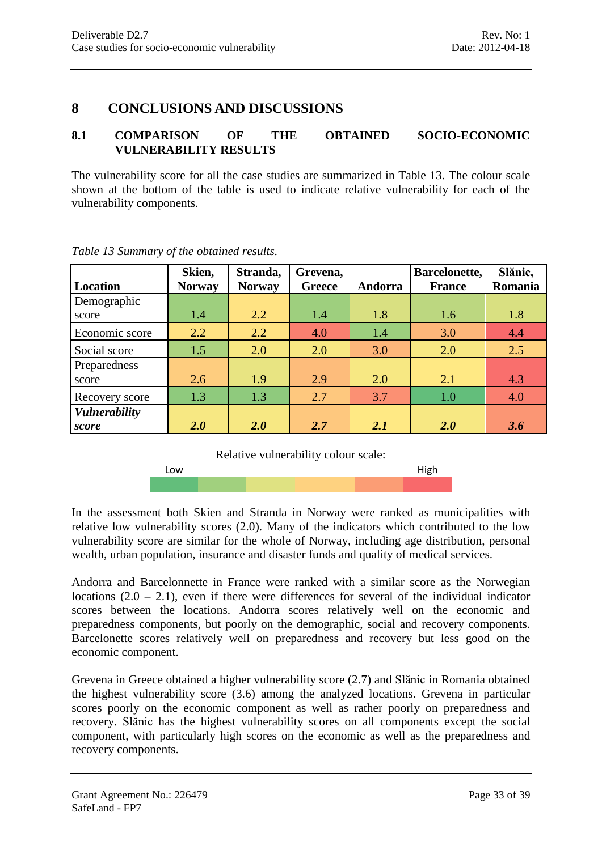# <span id="page-32-0"></span>**8 CONCLUSIONS AND DISCUSSIONS**

#### <span id="page-32-1"></span>**8.1 COMPARISON OF THE OBTAINED SOCIO-ECONOMIC VULNERABILITY RESULTS**

The vulnerability score for all the case studies are summarized in [Table 13.](#page-32-2) The colour scale shown at the bottom of the table is used to indicate relative vulnerability for each of the vulnerability components.

| Location                      | Skien,<br><b>Norway</b> | Stranda,<br><b>Norway</b> | Grevena,<br><b>Greece</b> | Andorra | Barcelonette,<br><b>France</b> | Slănic,<br>Romania |
|-------------------------------|-------------------------|---------------------------|---------------------------|---------|--------------------------------|--------------------|
| Demographic<br>score          | 1.4                     | 2.2                       | 1.4                       | 1.8     | 1.6                            | 1.8                |
| Economic score                | 2.2                     | 2.2                       | 4.0                       | 1.4     | 3.0                            | 4.4                |
| Social score                  | 1.5                     | 2.0                       | 2.0                       | 3.0     | 2.0                            | 2.5                |
| Preparedness<br>score         | 2.6                     | 1.9                       | 2.9                       | 2.0     | 2.1                            | 4.3                |
| Recovery score                | 1.3                     | 1.3                       | 2.7                       | 3.7     | 1.0                            | 4.0                |
| <b>Vulnerability</b><br>score | 2.0                     | 2.0                       | 2.7                       | 2.1     | 2.0                            | 3.6                |

<span id="page-32-2"></span>*Table 13 Summary of the obtained results.*

Relative vulnerability colour scale:

Low **Example 2018 Low** 

In the assessment both Skien and Stranda in Norway were ranked as municipalities with relative low vulnerability scores (2.0). Many of the indicators which contributed to the low vulnerability score are similar for the whole of Norway, including age distribution, personal wealth, urban population, insurance and disaster funds and quality of medical services.

Andorra and Barcelonnette in France were ranked with a similar score as the Norwegian locations  $(2.0 - 2.1)$ , even if there were differences for several of the individual indicator scores between the locations. Andorra scores relatively well on the economic and preparedness components, but poorly on the demographic, social and recovery components. Barcelonette scores relatively well on preparedness and recovery but less good on the economic component.

Grevena in Greece obtained a higher vulnerability score (2.7) and Slănic in Romania obtained the highest vulnerability score (3.6) among the analyzed locations. Grevena in particular scores poorly on the economic component as well as rather poorly on preparedness and recovery. Slănic has the highest vulnerability scores on all components except the social component, with particularly high scores on the economic as well as the preparedness and recovery components.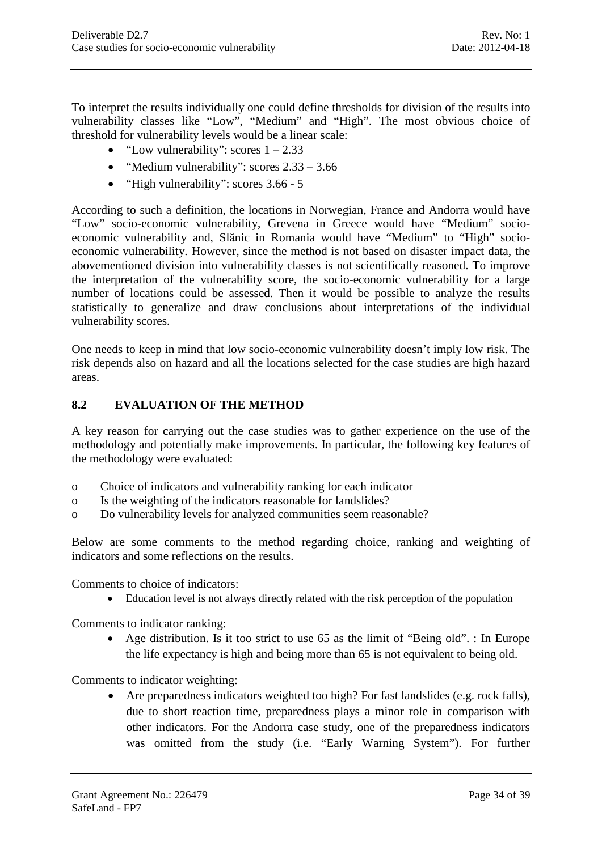To interpret the results individually one could define thresholds for division of the results into vulnerability classes like "Low", "Medium" and "High". The most obvious choice of threshold for vulnerability levels would be a linear scale:

- "Low vulnerability": scores  $1 2.33$
- "Medium vulnerability": scores  $2.33 3.66$
- "High vulnerability": scores 3.66 5

According to such a definition, the locations in Norwegian, France and Andorra would have "Low" socio-economic vulnerability, Grevena in Greece would have "Medium" socioeconomic vulnerability and, Slănic in Romania would have "Medium" to "High" socioeconomic vulnerability. However, since the method is not based on disaster impact data, the abovementioned division into vulnerability classes is not scientifically reasoned. To improve the interpretation of the vulnerability score, the socio-economic vulnerability for a large number of locations could be assessed. Then it would be possible to analyze the results statistically to generalize and draw conclusions about interpretations of the individual vulnerability scores.

One needs to keep in mind that low socio-economic vulnerability doesn't imply low risk. The risk depends also on hazard and all the locations selected for the case studies are high hazard areas.

#### <span id="page-33-0"></span>**8.2 EVALUATION OF THE METHOD**

A key reason for carrying out the case studies was to gather experience on the use of the methodology and potentially make improvements. In particular, the following key features of the methodology were evaluated:

- o Choice of indicators and vulnerability ranking for each indicator
- o Is the weighting of the indicators reasonable for landslides?
- o Do vulnerability levels for analyzed communities seem reasonable?

Below are some comments to the method regarding choice, ranking and weighting of indicators and some reflections on the results.

Comments to choice of indicators:

• Education level is not always directly related with the risk perception of the population

Comments to indicator ranking:

• Age distribution. Is it too strict to use 65 as the limit of "Being old". : In Europe the life expectancy is high and being more than 65 is not equivalent to being old.

Comments to indicator weighting:

• Are preparedness indicators weighted too high? For fast landslides (e.g. rock falls), due to short reaction time, preparedness plays a minor role in comparison with other indicators. For the Andorra case study, one of the preparedness indicators was omitted from the study (i.e. "Early Warning System"). For further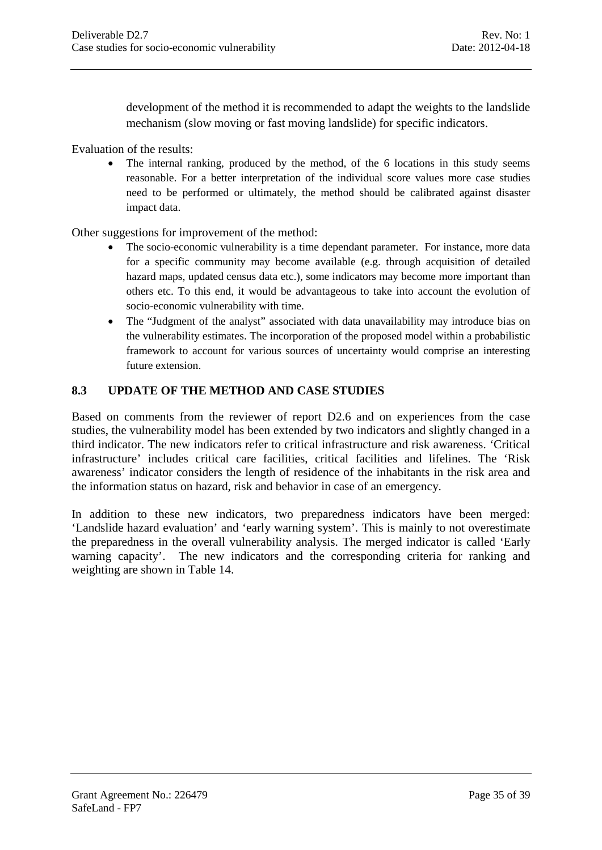development of the method it is recommended to adapt the weights to the landslide mechanism (slow moving or fast moving landslide) for specific indicators.

Evaluation of the results:

• The internal ranking, produced by the method, of the 6 locations in this study seems reasonable. For a better interpretation of the individual score values more case studies need to be performed or ultimately, the method should be calibrated against disaster impact data.

Other suggestions for improvement of the method:

- The socio-economic vulnerability is a time dependant parameter. For instance, more data for a specific community may become available (e.g. through acquisition of detailed hazard maps, updated census data etc.), some indicators may become more important than others etc. To this end, it would be advantageous to take into account the evolution of socio-economic vulnerability with time.
- The "Judgment of the analyst" associated with data unavailability may introduce bias on the vulnerability estimates. The incorporation of the proposed model within a probabilistic framework to account for various sources of uncertainty would comprise an interesting future extension.

#### <span id="page-34-0"></span>**8.3 UPDATE OF THE METHOD AND CASE STUDIES**

Based on comments from the reviewer of report D2.6 and on experiences from the case studies, the vulnerability model has been extended by two indicators and slightly changed in a third indicator. The new indicators refer to critical infrastructure and risk awareness. 'Critical infrastructure' includes critical care facilities, critical facilities and lifelines. The 'Risk awareness' indicator considers the length of residence of the inhabitants in the risk area and the information status on hazard, risk and behavior in case of an emergency.

In addition to these new indicators, two preparedness indicators have been merged: 'Landslide hazard evaluation' and 'early warning system'. This is mainly to not overestimate the preparedness in the overall vulnerability analysis. The merged indicator is called 'Early warning capacity'. The new indicators and the corresponding criteria for ranking and weighting are shown in Table 14.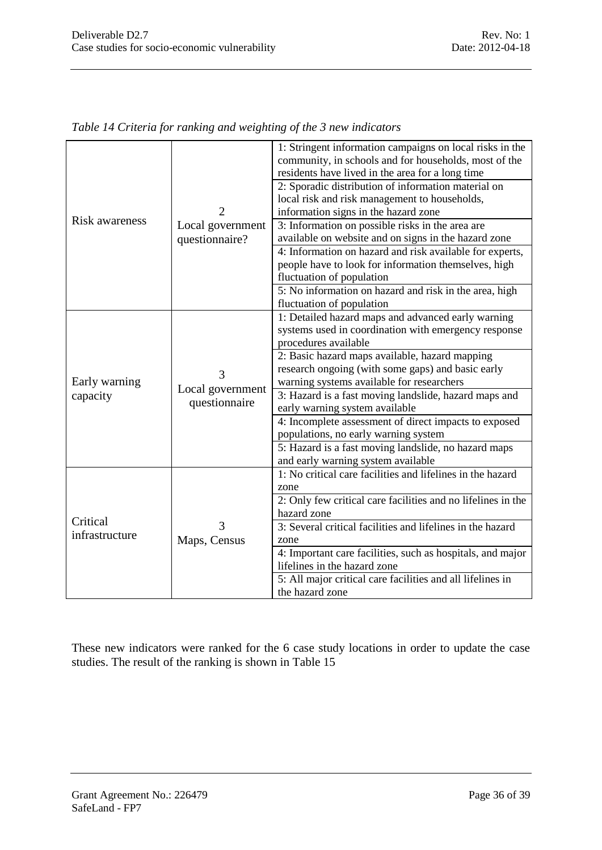|                |                                        | 1: Stringent information campaigns on local risks in the<br>community, in schools and for households, most of the<br>residents have lived in the area for a long time |
|----------------|----------------------------------------|-----------------------------------------------------------------------------------------------------------------------------------------------------------------------|
|                | $\mathfrak{D}$                         | 2: Sporadic distribution of information material on<br>local risk and risk management to households,<br>information signs in the hazard zone                          |
| Risk awareness | Local government<br>questionnaire?     | 3: Information on possible risks in the area are<br>available on website and on signs in the hazard zone                                                              |
|                |                                        | 4: Information on hazard and risk available for experts,<br>people have to look for information themselves, high<br>fluctuation of population                         |
|                |                                        | 5: No information on hazard and risk in the area, high<br>fluctuation of population                                                                                   |
|                |                                        | 1: Detailed hazard maps and advanced early warning<br>systems used in coordination with emergency response<br>procedures available                                    |
| Early warning  | 3<br>Local government<br>questionnaire | 2: Basic hazard maps available, hazard mapping<br>research ongoing (with some gaps) and basic early<br>warning systems available for researchers                      |
| capacity       |                                        | 3: Hazard is a fast moving landslide, hazard maps and<br>early warning system available                                                                               |
|                |                                        | 4: Incomplete assessment of direct impacts to exposed<br>populations, no early warning system                                                                         |
|                |                                        | 5: Hazard is a fast moving landslide, no hazard maps<br>and early warning system available                                                                            |
|                |                                        | 1: No critical care facilities and lifelines in the hazard<br>zone                                                                                                    |
| Critical       |                                        | 2: Only few critical care facilities and no lifelines in the<br>hazard zone                                                                                           |
| infrastructure | 3<br>Maps, Census                      | 3: Several critical facilities and lifelines in the hazard<br>zone                                                                                                    |
|                |                                        | 4: Important care facilities, such as hospitals, and major<br>lifelines in the hazard zone                                                                            |
|                |                                        | 5: All major critical care facilities and all lifelines in<br>the hazard zone                                                                                         |

*Table 14 Criteria for ranking and weighting of the 3 new indicators*

These new indicators were ranked for the 6 case study locations in order to update the case studies. The result of the ranking is shown in Table 15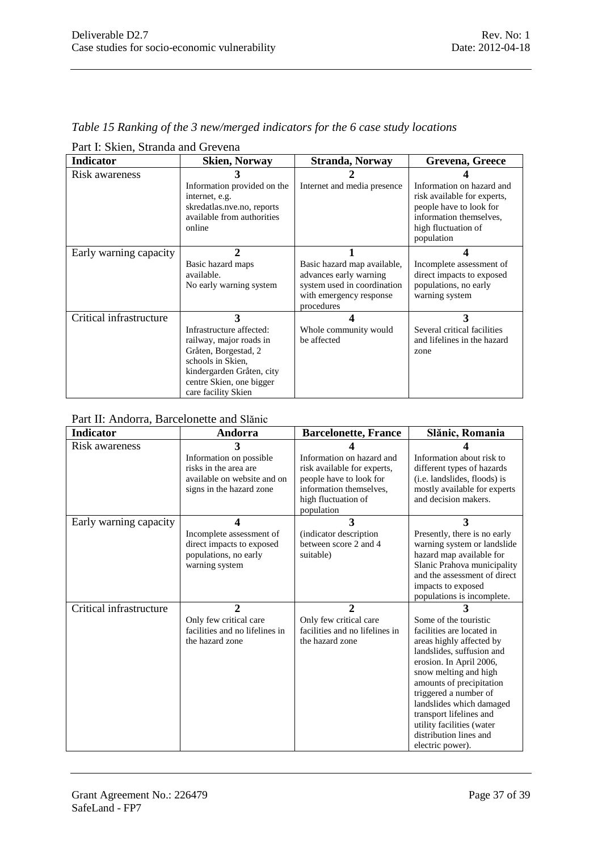|  |  | Table 15 Ranking of the 3 new/merged indicators for the 6 case study locations |
|--|--|--------------------------------------------------------------------------------|
|--|--|--------------------------------------------------------------------------------|

| <b>Indicator</b>        | <b>Skien, Norway</b>                                                                                                                                                                             | <b>Stranda, Norway</b>                                                                                                        | Grevena, Greece                                                                                                                                     |
|-------------------------|--------------------------------------------------------------------------------------------------------------------------------------------------------------------------------------------------|-------------------------------------------------------------------------------------------------------------------------------|-----------------------------------------------------------------------------------------------------------------------------------------------------|
| Risk awareness          | Information provided on the<br>internet, e.g.<br>skredatlas.nve.no, reports<br>available from authorities<br>online                                                                              | Internet and media presence                                                                                                   | Information on hazard and<br>risk available for experts,<br>people have to look for<br>information themselves,<br>high fluctuation of<br>population |
| Early warning capacity  | $\mathcal{D}_{\mathcal{L}}$<br>Basic hazard maps<br>available.<br>No early warning system                                                                                                        | Basic hazard map available,<br>advances early warning<br>system used in coordination<br>with emergency response<br>procedures | Incomplete assessment of<br>direct impacts to exposed<br>populations, no early<br>warning system                                                    |
| Critical infrastructure | $\mathbf{3}$<br>Infrastructure affected:<br>railway, major roads in<br>Gråten, Borgestad, 2<br>schools in Skien,<br>kindergarden Gråten, city<br>centre Skien, one bigger<br>care facility Skien | Whole community would<br>be affected                                                                                          | 3<br>Several critical facilities<br>and lifelines in the hazard<br>zone                                                                             |

Part I: Skien, Stranda and Grevena

# Part II: Andorra, Barcelonette and Slănic

| Indicator               | Andorra                                                                                                     | <b>Barcelonette, France</b>                                                                                                                         | Slănic, Romania                                                                                                                                                                                                                                                                                                                                             |
|-------------------------|-------------------------------------------------------------------------------------------------------------|-----------------------------------------------------------------------------------------------------------------------------------------------------|-------------------------------------------------------------------------------------------------------------------------------------------------------------------------------------------------------------------------------------------------------------------------------------------------------------------------------------------------------------|
| Risk awareness          | Information on possible<br>risks in the area are<br>available on website and on<br>signs in the hazard zone | Information on hazard and<br>risk available for experts,<br>people have to look for<br>information themselves.<br>high fluctuation of<br>population | Information about risk to<br>different types of hazards<br>(i.e. landslides, floods) is<br>mostly available for experts<br>and decision makers.                                                                                                                                                                                                             |
| Early warning capacity  | 4<br>Incomplete assessment of<br>direct impacts to exposed<br>populations, no early<br>warning system       | 3<br>(indicator description)<br>between score 2 and 4<br>suitable)                                                                                  | 3<br>Presently, there is no early<br>warning system or landslide<br>hazard map available for<br>Slanic Prahova municipality<br>and the assessment of direct<br>impacts to exposed<br>populations is incomplete.                                                                                                                                             |
| Critical infrastructure | $\overline{2}$<br>Only few critical care<br>facilities and no lifelines in<br>the hazard zone               | $\overline{2}$<br>Only few critical care<br>facilities and no lifelines in<br>the hazard zone                                                       | 3<br>Some of the touristic<br>facilities are located in<br>areas highly affected by<br>landslides, suffusion and<br>erosion. In April 2006,<br>snow melting and high<br>amounts of precipitation<br>triggered a number of<br>landslides which damaged<br>transport lifelines and<br>utility facilities (water<br>distribution lines and<br>electric power). |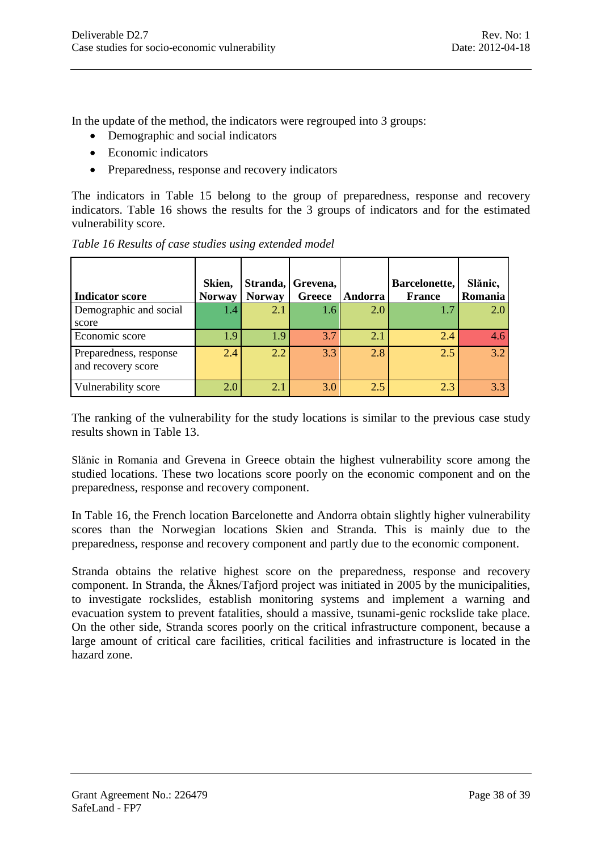In the update of the method, the indicators were regrouped into 3 groups:

- Demographic and social indicators
- Economic indicators
- Preparedness, response and recovery indicators

The indicators in Table 15 belong to the group of preparedness, response and recovery indicators. Table 16 shows the results for the 3 groups of indicators and for the estimated vulnerability score.

|                                              | Skien,        |               | Stranda, Grevena, |         | Barcelonette, | Slănic, |
|----------------------------------------------|---------------|---------------|-------------------|---------|---------------|---------|
| <b>Indicator score</b>                       | <b>Norway</b> | <b>Norway</b> | Greece            | Andorra | <b>France</b> | Romania |
| Demographic and social<br>score              | 1.4           | 2.1           | 1.6               | 2.0     |               | 2.0     |
| Economic score                               | 1.9           | 1.9           | 3.7               | 2.1     | 2.4           | 4.6     |
| Preparedness, response<br>and recovery score | 2.4           | 2.2           | 3.3               | 2.8     | 2.5           | 3.2     |
| Vulnerability score                          | 2.0           | 2.1           | 3.0               | 2.5     | 2.3           | 33      |

*Table 16 Results of case studies using extended model*

The ranking of the vulnerability for the study locations is similar to the previous case study results shown in Table 13.

Slănic in Romania and Grevena in Greece obtain the highest vulnerability score among the studied locations. These two locations score poorly on the economic component and on the preparedness, response and recovery component.

In Table 16, the French location Barcelonette and Andorra obtain slightly higher vulnerability scores than the Norwegian locations Skien and Stranda. This is mainly due to the preparedness, response and recovery component and partly due to the economic component.

Stranda obtains the relative highest score on the preparedness, response and recovery component. In Stranda, the Åknes/Tafjord project was initiated in 2005 by the municipalities, to investigate rockslides, establish monitoring systems and implement a warning and evacuation system to prevent fatalities, should a massive, tsunami-genic rockslide take place. On the other side, Stranda scores poorly on the critical infrastructure component, because a large amount of critical care facilities, critical facilities and infrastructure is located in the hazard zone.